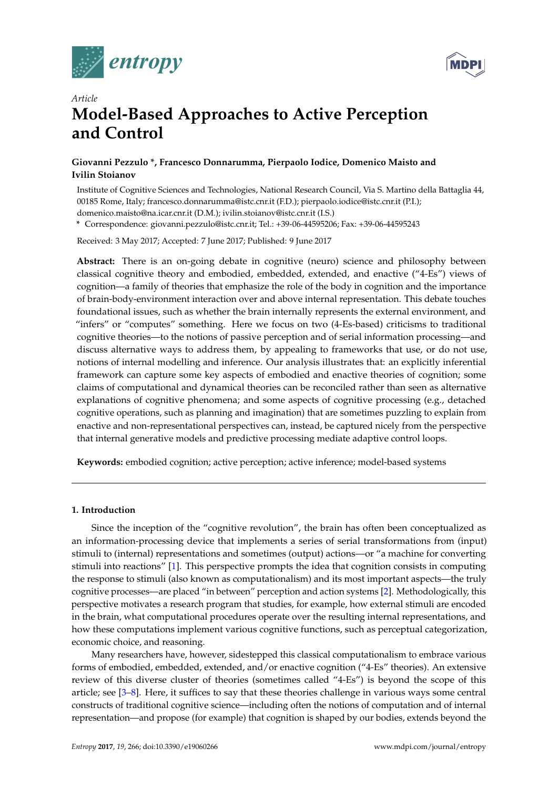



# *Article* **Model-Based Approaches to Active Perception and Control**

# **Giovanni Pezzulo \*, Francesco Donnarumma, Pierpaolo Iodice, Domenico Maisto and Ivilin Stoianov**

Institute of Cognitive Sciences and Technologies, National Research Council, Via S. Martino della Battaglia 44, 00185 Rome, Italy; francesco.donnarumma@istc.cnr.it (F.D.); pierpaolo.iodice@istc.cnr.it (P.I.); domenico.maisto@na.icar.cnr.it (D.M.); ivilin.stoianov@istc.cnr.it (I.S.)

**\*** Correspondence: giovanni.pezzulo@istc.cnr.it; Tel.: +39-06-44595206; Fax: +39-06-44595243

Received: 3 May 2017; Accepted: 7 June 2017; Published: 9 June 2017

**Abstract:** There is an on-going debate in cognitive (neuro) science and philosophy between classical cognitive theory and embodied, embedded, extended, and enactive ("4-Es") views of cognition—a family of theories that emphasize the role of the body in cognition and the importance of brain-body-environment interaction over and above internal representation. This debate touches foundational issues, such as whether the brain internally represents the external environment, and "infers" or "computes" something. Here we focus on two (4-Es-based) criticisms to traditional cognitive theories—to the notions of passive perception and of serial information processing—and discuss alternative ways to address them, by appealing to frameworks that use, or do not use, notions of internal modelling and inference. Our analysis illustrates that: an explicitly inferential framework can capture some key aspects of embodied and enactive theories of cognition; some claims of computational and dynamical theories can be reconciled rather than seen as alternative explanations of cognitive phenomena; and some aspects of cognitive processing (e.g., detached cognitive operations, such as planning and imagination) that are sometimes puzzling to explain from enactive and non-representational perspectives can, instead, be captured nicely from the perspective that internal generative models and predictive processing mediate adaptive control loops.

**Keywords:** embodied cognition; active perception; active inference; model-based systems

# **1. Introduction**

Since the inception of the "cognitive revolution", the brain has often been conceptualized as an information-processing device that implements a series of serial transformations from (input) stimuli to (internal) representations and sometimes (output) actions—or "a machine for converting stimuli into reactions" [\[1\]](#page-15-0). This perspective prompts the idea that cognition consists in computing the response to stimuli (also known as computationalism) and its most important aspects—the truly cognitive processes—are placed "in between" perception and action systems [\[2\]](#page-15-1). Methodologically, this perspective motivates a research program that studies, for example, how external stimuli are encoded in the brain, what computational procedures operate over the resulting internal representations, and how these computations implement various cognitive functions, such as perceptual categorization, economic choice, and reasoning.

Many researchers have, however, sidestepped this classical computationalism to embrace various forms of embodied, embedded, extended, and/or enactive cognition ("4-Es" theories). An extensive review of this diverse cluster of theories (sometimes called "4-Es") is beyond the scope of this article; see [\[3–](#page-15-2)[8\]](#page-16-0). Here, it suffices to say that these theories challenge in various ways some central constructs of traditional cognitive science—including often the notions of computation and of internal representation—and propose (for example) that cognition is shaped by our bodies, extends beyond the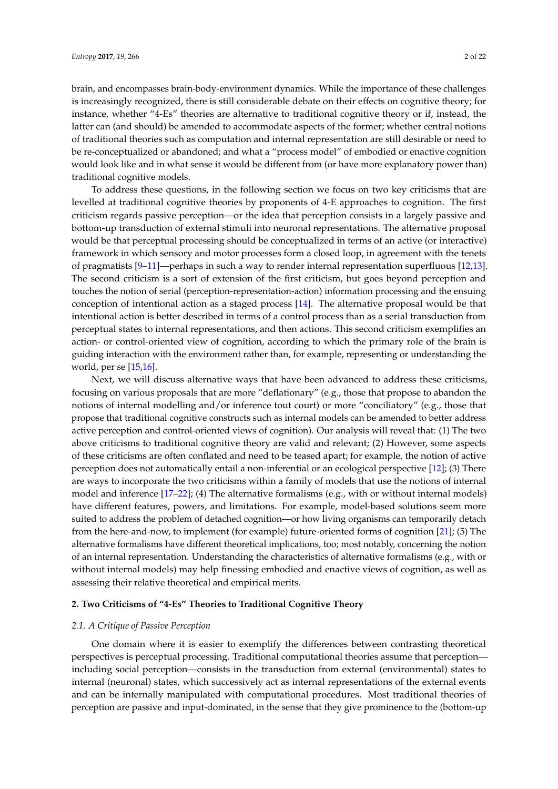brain, and encompasses brain-body-environment dynamics. While the importance of these challenges is increasingly recognized, there is still considerable debate on their effects on cognitive theory; for instance, whether "4-Es" theories are alternative to traditional cognitive theory or if, instead, the latter can (and should) be amended to accommodate aspects of the former; whether central notions of traditional theories such as computation and internal representation are still desirable or need to be re-conceptualized or abandoned; and what a "process model" of embodied or enactive cognition would look like and in what sense it would be different from (or have more explanatory power than) traditional cognitive models.

To address these questions, in the following section we focus on two key criticisms that are levelled at traditional cognitive theories by proponents of 4-E approaches to cognition. The first criticism regards passive perception—or the idea that perception consists in a largely passive and bottom-up transduction of external stimuli into neuronal representations. The alternative proposal would be that perceptual processing should be conceptualized in terms of an active (or interactive) framework in which sensory and motor processes form a closed loop, in agreement with the tenets of pragmatists [\[9](#page-16-1)[–11\]](#page-16-2)—perhaps in such a way to render internal representation superfluous [\[12,](#page-16-3)[13\]](#page-16-4). The second criticism is a sort of extension of the first criticism, but goes beyond perception and touches the notion of serial (perception-representation-action) information processing and the ensuing conception of intentional action as a staged process [\[14\]](#page-16-5). The alternative proposal would be that intentional action is better described in terms of a control process than as a serial transduction from perceptual states to internal representations, and then actions. This second criticism exemplifies an action- or control-oriented view of cognition, according to which the primary role of the brain is guiding interaction with the environment rather than, for example, representing or understanding the world, per se [\[15,](#page-16-6)[16\]](#page-16-7).

Next, we will discuss alternative ways that have been advanced to address these criticisms, focusing on various proposals that are more "deflationary" (e.g., those that propose to abandon the notions of internal modelling and/or inference tout court) or more "conciliatory" (e.g., those that propose that traditional cognitive constructs such as internal models can be amended to better address active perception and control-oriented views of cognition). Our analysis will reveal that: (1) The two above criticisms to traditional cognitive theory are valid and relevant; (2) However, some aspects of these criticisms are often conflated and need to be teased apart; for example, the notion of active perception does not automatically entail a non-inferential or an ecological perspective [\[12\]](#page-16-3); (3) There are ways to incorporate the two criticisms within a family of models that use the notions of internal model and inference [\[17](#page-16-8)[–22\]](#page-16-9); (4) The alternative formalisms (e.g., with or without internal models) have different features, powers, and limitations. For example, model-based solutions seem more suited to address the problem of detached cognition—or how living organisms can temporarily detach from the here-and-now, to implement (for example) future-oriented forms of cognition [\[21\]](#page-16-10); (5) The alternative formalisms have different theoretical implications, too; most notably, concerning the notion of an internal representation. Understanding the characteristics of alternative formalisms (e.g., with or without internal models) may help finessing embodied and enactive views of cognition, as well as assessing their relative theoretical and empirical merits.

# **2. Two Criticisms of "4-Es" Theories to Traditional Cognitive Theory**

#### *2.1. A Critique of Passive Perception*

One domain where it is easier to exemplify the differences between contrasting theoretical perspectives is perceptual processing. Traditional computational theories assume that perception including social perception—consists in the transduction from external (environmental) states to internal (neuronal) states, which successively act as internal representations of the external events and can be internally manipulated with computational procedures. Most traditional theories of perception are passive and input-dominated, in the sense that they give prominence to the (bottom-up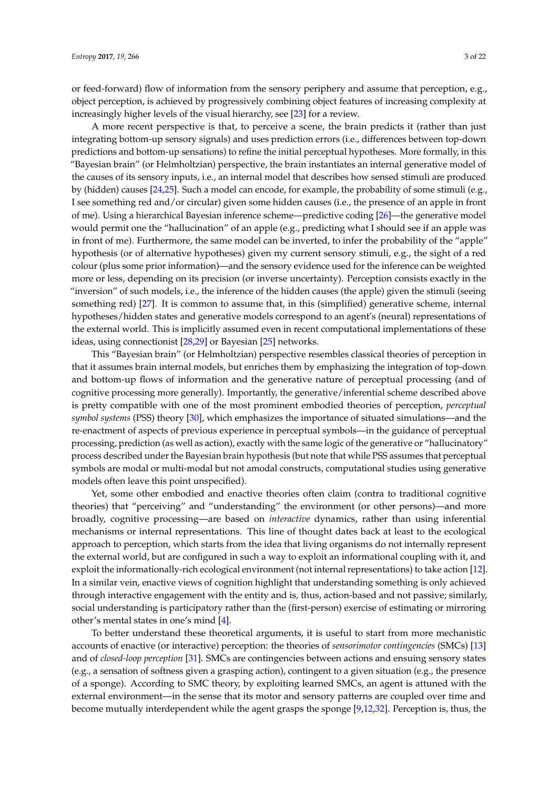or feed-forward) flow of information from the sensory periphery and assume that perception, e.g., object perception, is achieved by progressively combining object features of increasing complexity at increasingly higher levels of the visual hierarchy, see [\[23\]](#page-16-11) for a review.

A more recent perspective is that, to perceive a scene, the brain predicts it (rather than just integrating bottom-up sensory signals) and uses prediction errors (i.e., differences between top-down predictions and bottom-up sensations) to refine the initial perceptual hypotheses. More formally, in this "Bayesian brain" (or Helmholtzian) perspective, the brain instantiates an internal generative model of the causes of its sensory inputs, i.e., an internal model that describes how sensed stimuli are produced by (hidden) causes [\[24,](#page-16-12)[25\]](#page-16-13). Such a model can encode, for example, the probability of some stimuli (e.g., I see something red and/or circular) given some hidden causes (i.e., the presence of an apple in front of me). Using a hierarchical Bayesian inference scheme—predictive coding [\[26\]](#page-16-14)—the generative model would permit one the "hallucination" of an apple (e.g., predicting what I should see if an apple was in front of me). Furthermore, the same model can be inverted, to infer the probability of the "apple" hypothesis (or of alternative hypotheses) given my current sensory stimuli, e.g., the sight of a red colour (plus some prior information)—and the sensory evidence used for the inference can be weighted more or less, depending on its precision (or inverse uncertainty). Perception consists exactly in the "inversion" of such models, i.e., the inference of the hidden causes (the apple) given the stimuli (seeing something red) [\[27\]](#page-16-15). It is common to assume that, in this (simplified) generative scheme, internal hypotheses/hidden states and generative models correspond to an agent's (neural) representations of the external world. This is implicitly assumed even in recent computational implementations of these ideas, using connectionist [\[28,](#page-16-16)[29\]](#page-16-17) or Bayesian [\[25\]](#page-16-13) networks.

This "Bayesian brain" (or Helmholtzian) perspective resembles classical theories of perception in that it assumes brain internal models, but enriches them by emphasizing the integration of top-down and bottom-up flows of information and the generative nature of perceptual processing (and of cognitive processing more generally). Importantly, the generative/inferential scheme described above is pretty compatible with one of the most prominent embodied theories of perception, *perceptual symbol systems* (PSS) theory [\[30\]](#page-16-18), which emphasizes the importance of situated simulations—and the re-enactment of aspects of previous experience in perceptual symbols—in the guidance of perceptual processing, prediction (as well as action), exactly with the same logic of the generative or "hallucinatory" process described under the Bayesian brain hypothesis (but note that while PSS assumes that perceptual symbols are modal or multi-modal but not amodal constructs, computational studies using generative models often leave this point unspecified).

Yet, some other embodied and enactive theories often claim (contra to traditional cognitive theories) that "perceiving" and "understanding" the environment (or other persons)—and more broadly, cognitive processing—are based on *interactive* dynamics, rather than using inferential mechanisms or internal representations. This line of thought dates back at least to the ecological approach to perception, which starts from the idea that living organisms do not internally represent the external world, but are configured in such a way to exploit an informational coupling with it, and exploit the informationally-rich ecological environment (not internal representations) to take action [\[12\]](#page-16-3). In a similar vein, enactive views of cognition highlight that understanding something is only achieved through interactive engagement with the entity and is, thus, action-based and not passive; similarly, social understanding is participatory rather than the (first-person) exercise of estimating or mirroring other's mental states in one's mind [\[4\]](#page-15-3).

To better understand these theoretical arguments, it is useful to start from more mechanistic accounts of enactive (or interactive) perception: the theories of *sensorimotor contingencies* (SMCs) [\[13\]](#page-16-4) and of *closed-loop perception* [\[31\]](#page-16-19). SMCs are contingencies between actions and ensuing sensory states (e.g., a sensation of softness given a grasping action), contingent to a given situation (e.g., the presence of a sponge). According to SMC theory, by exploiting learned SMCs, an agent is attuned with the external environment—in the sense that its motor and sensory patterns are coupled over time and become mutually interdependent while the agent grasps the sponge [\[9](#page-16-1)[,12](#page-16-3)[,32\]](#page-16-20). Perception is, thus, the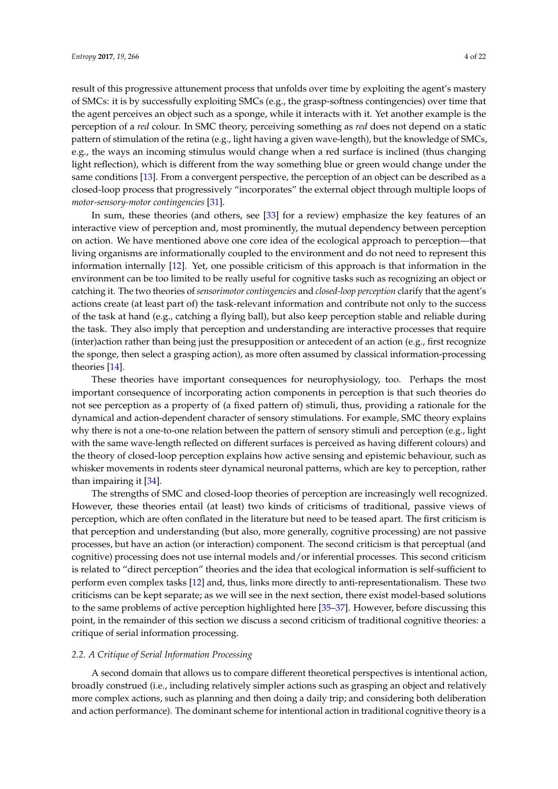result of this progressive attunement process that unfolds over time by exploiting the agent's mastery of SMCs: it is by successfully exploiting SMCs (e.g., the grasp-softness contingencies) over time that the agent perceives an object such as a sponge, while it interacts with it. Yet another example is the perception of a *red* colour. In SMC theory, perceiving something as *red* does not depend on a static pattern of stimulation of the retina (e.g., light having a given wave-length), but the knowledge of SMCs, e.g., the ways an incoming stimulus would change when a red surface is inclined (thus changing light reflection), which is different from the way something blue or green would change under the same conditions [\[13\]](#page-16-4). From a convergent perspective, the perception of an object can be described as a closed-loop process that progressively "incorporates" the external object through multiple loops of *motor-sensory-motor contingencies* [\[31\]](#page-16-19).

In sum, these theories (and others, see [\[33\]](#page-16-21) for a review) emphasize the key features of an interactive view of perception and, most prominently, the mutual dependency between perception on action. We have mentioned above one core idea of the ecological approach to perception—that living organisms are informationally coupled to the environment and do not need to represent this information internally [\[12\]](#page-16-3). Yet, one possible criticism of this approach is that information in the environment can be too limited to be really useful for cognitive tasks such as recognizing an object or catching it. The two theories of *sensorimotor contingencies* and *closed-loop perception* clarify that the agent's actions create (at least part of) the task-relevant information and contribute not only to the success of the task at hand (e.g., catching a flying ball), but also keep perception stable and reliable during the task. They also imply that perception and understanding are interactive processes that require (inter)action rather than being just the presupposition or antecedent of an action (e.g., first recognize the sponge, then select a grasping action), as more often assumed by classical information-processing theories [\[14\]](#page-16-5).

These theories have important consequences for neurophysiology, too. Perhaps the most important consequence of incorporating action components in perception is that such theories do not see perception as a property of (a fixed pattern of) stimuli, thus, providing a rationale for the dynamical and action-dependent character of sensory stimulations. For example, SMC theory explains why there is not a one-to-one relation between the pattern of sensory stimuli and perception (e.g., light with the same wave-length reflected on different surfaces is perceived as having different colours) and the theory of closed-loop perception explains how active sensing and epistemic behaviour, such as whisker movements in rodents steer dynamical neuronal patterns, which are key to perception, rather than impairing it [\[34\]](#page-16-22).

The strengths of SMC and closed-loop theories of perception are increasingly well recognized. However, these theories entail (at least) two kinds of criticisms of traditional, passive views of perception, which are often conflated in the literature but need to be teased apart. The first criticism is that perception and understanding (but also, more generally, cognitive processing) are not passive processes, but have an action (or interaction) component. The second criticism is that perceptual (and cognitive) processing does not use internal models and/or inferential processes. This second criticism is related to "direct perception" theories and the idea that ecological information is self-sufficient to perform even complex tasks [\[12\]](#page-16-3) and, thus, links more directly to anti-representationalism. These two criticisms can be kept separate; as we will see in the next section, there exist model-based solutions to the same problems of active perception highlighted here [\[35](#page-16-23)[–37\]](#page-16-24). However, before discussing this point, in the remainder of this section we discuss a second criticism of traditional cognitive theories: a critique of serial information processing.

#### *2.2. A Critique of Serial Information Processing*

A second domain that allows us to compare different theoretical perspectives is intentional action, broadly construed (i.e., including relatively simpler actions such as grasping an object and relatively more complex actions, such as planning and then doing a daily trip; and considering both deliberation and action performance). The dominant scheme for intentional action in traditional cognitive theory is a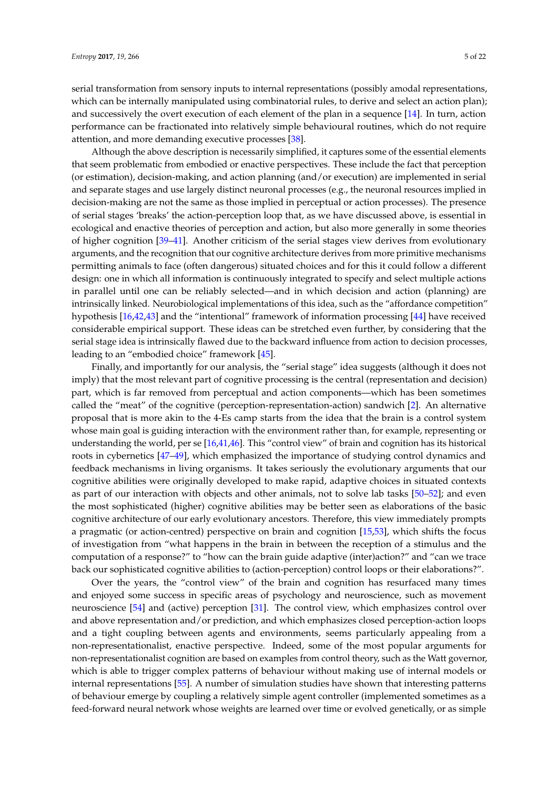serial transformation from sensory inputs to internal representations (possibly amodal representations, which can be internally manipulated using combinatorial rules, to derive and select an action plan); and successively the overt execution of each element of the plan in a sequence [\[14\]](#page-16-5). In turn, action performance can be fractionated into relatively simple behavioural routines, which do not require attention, and more demanding executive processes [\[38\]](#page-16-25).

Although the above description is necessarily simplified, it captures some of the essential elements that seem problematic from embodied or enactive perspectives. These include the fact that perception (or estimation), decision-making, and action planning (and/or execution) are implemented in serial and separate stages and use largely distinct neuronal processes (e.g., the neuronal resources implied in decision-making are not the same as those implied in perceptual or action processes). The presence of serial stages 'breaks' the action-perception loop that, as we have discussed above, is essential in ecological and enactive theories of perception and action, but also more generally in some theories of higher cognition [\[39–](#page-17-0)[41\]](#page-17-1). Another criticism of the serial stages view derives from evolutionary arguments, and the recognition that our cognitive architecture derives from more primitive mechanisms permitting animals to face (often dangerous) situated choices and for this it could follow a different design: one in which all information is continuously integrated to specify and select multiple actions in parallel until one can be reliably selected—and in which decision and action (planning) are intrinsically linked. Neurobiological implementations of this idea, such as the "affordance competition" hypothesis [\[16](#page-16-7)[,42](#page-17-2)[,43\]](#page-17-3) and the "intentional" framework of information processing [\[44\]](#page-17-4) have received considerable empirical support. These ideas can be stretched even further, by considering that the serial stage idea is intrinsically flawed due to the backward influence from action to decision processes, leading to an "embodied choice" framework [\[45\]](#page-17-5).

Finally, and importantly for our analysis, the "serial stage" idea suggests (although it does not imply) that the most relevant part of cognitive processing is the central (representation and decision) part, which is far removed from perceptual and action components—which has been sometimes called the "meat" of the cognitive (perception-representation-action) sandwich [\[2\]](#page-15-1). An alternative proposal that is more akin to the 4-Es camp starts from the idea that the brain is a control system whose main goal is guiding interaction with the environment rather than, for example, representing or understanding the world, per se [\[16,](#page-16-7)[41,](#page-17-1)[46\]](#page-17-6). This "control view" of brain and cognition has its historical roots in cybernetics [\[47](#page-17-7)[–49\]](#page-17-8), which emphasized the importance of studying control dynamics and feedback mechanisms in living organisms. It takes seriously the evolutionary arguments that our cognitive abilities were originally developed to make rapid, adaptive choices in situated contexts as part of our interaction with objects and other animals, not to solve lab tasks [\[50](#page-17-9)[–52\]](#page-17-10); and even the most sophisticated (higher) cognitive abilities may be better seen as elaborations of the basic cognitive architecture of our early evolutionary ancestors. Therefore, this view immediately prompts a pragmatic (or action-centred) perspective on brain and cognition [\[15,](#page-16-6)[53\]](#page-17-11), which shifts the focus of investigation from "what happens in the brain in between the reception of a stimulus and the computation of a response?" to "how can the brain guide adaptive (inter)action?" and "can we trace back our sophisticated cognitive abilities to (action-perception) control loops or their elaborations?".

Over the years, the "control view" of the brain and cognition has resurfaced many times and enjoyed some success in specific areas of psychology and neuroscience, such as movement neuroscience [\[54\]](#page-17-12) and (active) perception [\[31\]](#page-16-19). The control view, which emphasizes control over and above representation and/or prediction, and which emphasizes closed perception-action loops and a tight coupling between agents and environments, seems particularly appealing from a non-representationalist, enactive perspective. Indeed, some of the most popular arguments for non-representationalist cognition are based on examples from control theory, such as the Watt governor, which is able to trigger complex patterns of behaviour without making use of internal models or internal representations [\[55\]](#page-17-13). A number of simulation studies have shown that interesting patterns of behaviour emerge by coupling a relatively simple agent controller (implemented sometimes as a feed-forward neural network whose weights are learned over time or evolved genetically, or as simple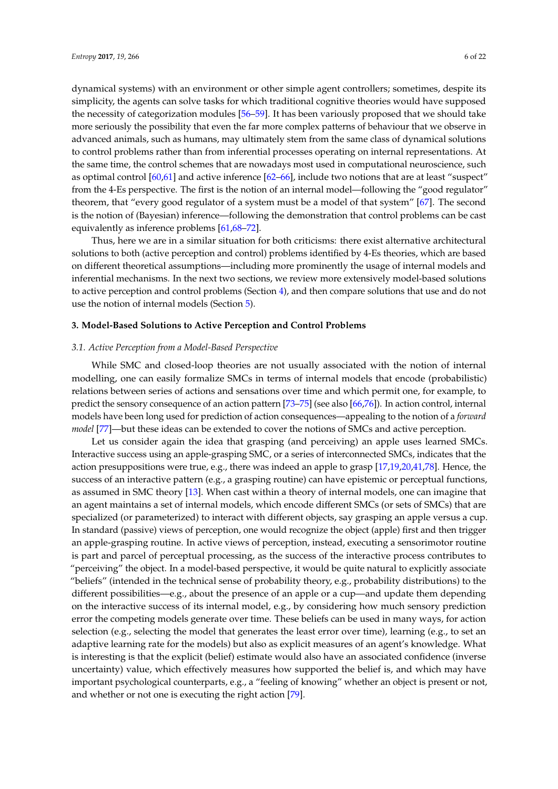dynamical systems) with an environment or other simple agent controllers; sometimes, despite its simplicity, the agents can solve tasks for which traditional cognitive theories would have supposed the necessity of categorization modules [\[56](#page-17-14)[–59\]](#page-17-15). It has been variously proposed that we should take more seriously the possibility that even the far more complex patterns of behaviour that we observe in advanced animals, such as humans, may ultimately stem from the same class of dynamical solutions to control problems rather than from inferential processes operating on internal representations. At the same time, the control schemes that are nowadays most used in computational neuroscience, such as optimal control [\[60,](#page-17-16)[61\]](#page-17-17) and active inference [\[62–](#page-17-18)[66\]](#page-18-0), include two notions that are at least "suspect" from the 4-Es perspective. The first is the notion of an internal model—following the "good regulator" theorem, that "every good regulator of a system must be a model of that system" [\[67\]](#page-18-1). The second is the notion of (Bayesian) inference—following the demonstration that control problems can be cast equivalently as inference problems [\[61,](#page-17-17)[68](#page-18-2)[–72\]](#page-18-3).

Thus, here we are in a similar situation for both criticisms: there exist alternative architectural solutions to both (active perception and control) problems identified by 4-Es theories, which are based on different theoretical assumptions—including more prominently the usage of internal models and inferential mechanisms. In the next two sections, we review more extensively model-based solutions to active perception and control problems (Section [4\)](#page-7-0), and then compare solutions that use and do not use the notion of internal models (Section [5\)](#page-13-0).

### **3. Model-Based Solutions to Active Perception and Control Problems**

#### *3.1. Active Perception from a Model-Based Perspective*

While SMC and closed-loop theories are not usually associated with the notion of internal modelling, one can easily formalize SMCs in terms of internal models that encode (probabilistic) relations between series of actions and sensations over time and which permit one, for example, to predict the sensory consequence of an action pattern [\[73–](#page-18-4)[75\]](#page-18-5) (see also [\[66](#page-18-0)[,76\]](#page-18-6)). In action control, internal models have been long used for prediction of action consequences—appealing to the notion of a *forward model* [\[77\]](#page-18-7)—but these ideas can be extended to cover the notions of SMCs and active perception.

Let us consider again the idea that grasping (and perceiving) an apple uses learned SMCs. Interactive success using an apple-grasping SMC, or a series of interconnected SMCs, indicates that the action presuppositions were true, e.g., there was indeed an apple to grasp [\[17,](#page-16-8)[19,](#page-16-26)[20,](#page-16-27)[41](#page-17-1)[,78\]](#page-18-8). Hence, the success of an interactive pattern (e.g., a grasping routine) can have epistemic or perceptual functions, as assumed in SMC theory [\[13\]](#page-16-4). When cast within a theory of internal models, one can imagine that an agent maintains a set of internal models, which encode different SMCs (or sets of SMCs) that are specialized (or parameterized) to interact with different objects, say grasping an apple versus a cup. In standard (passive) views of perception, one would recognize the object (apple) first and then trigger an apple-grasping routine. In active views of perception, instead, executing a sensorimotor routine is part and parcel of perceptual processing, as the success of the interactive process contributes to "perceiving" the object. In a model-based perspective, it would be quite natural to explicitly associate "beliefs" (intended in the technical sense of probability theory, e.g., probability distributions) to the different possibilities—e.g., about the presence of an apple or a cup—and update them depending on the interactive success of its internal model, e.g., by considering how much sensory prediction error the competing models generate over time. These beliefs can be used in many ways, for action selection (e.g., selecting the model that generates the least error over time), learning (e.g., to set an adaptive learning rate for the models) but also as explicit measures of an agent's knowledge. What is interesting is that the explicit (belief) estimate would also have an associated confidence (inverse uncertainty) value, which effectively measures how supported the belief is, and which may have important psychological counterparts, e.g., a "feeling of knowing" whether an object is present or not, and whether or not one is executing the right action [\[79\]](#page-18-9).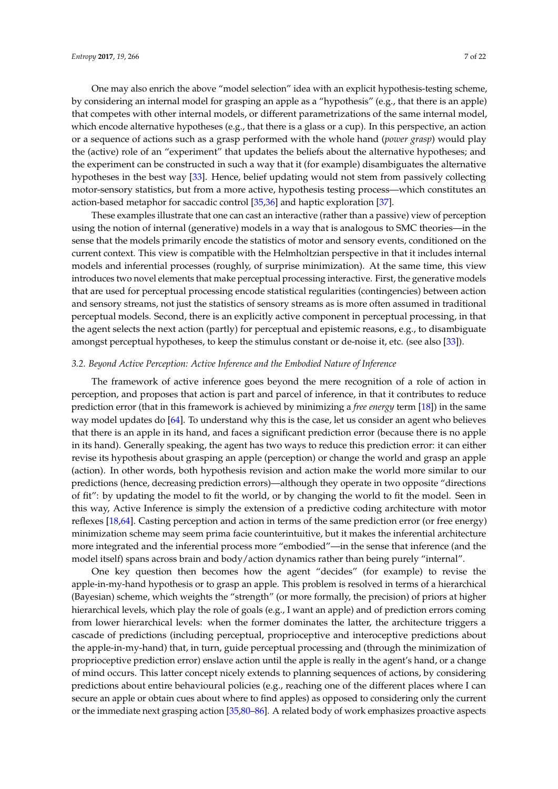One may also enrich the above "model selection" idea with an explicit hypothesis-testing scheme, by considering an internal model for grasping an apple as a "hypothesis" (e.g., that there is an apple) that competes with other internal models, or different parametrizations of the same internal model, which encode alternative hypotheses (e.g., that there is a glass or a cup). In this perspective, an action or a sequence of actions such as a grasp performed with the whole hand (*power grasp*) would play the (active) role of an "experiment" that updates the beliefs about the alternative hypotheses; and the experiment can be constructed in such a way that it (for example) disambiguates the alternative hypotheses in the best way [\[33\]](#page-16-21). Hence, belief updating would not stem from passively collecting motor-sensory statistics, but from a more active, hypothesis testing process—which constitutes an action-based metaphor for saccadic control [\[35,](#page-16-23)[36\]](#page-16-28) and haptic exploration [\[37\]](#page-16-24).

These examples illustrate that one can cast an interactive (rather than a passive) view of perception using the notion of internal (generative) models in a way that is analogous to SMC theories—in the sense that the models primarily encode the statistics of motor and sensory events, conditioned on the current context. This view is compatible with the Helmholtzian perspective in that it includes internal models and inferential processes (roughly, of surprise minimization). At the same time, this view introduces two novel elements that make perceptual processing interactive. First, the generative models that are used for perceptual processing encode statistical regularities (contingencies) between action and sensory streams, not just the statistics of sensory streams as is more often assumed in traditional perceptual models. Second, there is an explicitly active component in perceptual processing, in that the agent selects the next action (partly) for perceptual and epistemic reasons, e.g., to disambiguate amongst perceptual hypotheses, to keep the stimulus constant or de-noise it, etc. (see also [\[33\]](#page-16-21)).

# *3.2. Beyond Active Perception: Active Inference and the Embodied Nature of Inference*

The framework of active inference goes beyond the mere recognition of a role of action in perception, and proposes that action is part and parcel of inference, in that it contributes to reduce prediction error (that in this framework is achieved by minimizing a *free energy* term [\[18\]](#page-16-29)) in the same way model updates do [\[64\]](#page-17-19). To understand why this is the case, let us consider an agent who believes that there is an apple in its hand, and faces a significant prediction error (because there is no apple in its hand). Generally speaking, the agent has two ways to reduce this prediction error: it can either revise its hypothesis about grasping an apple (perception) or change the world and grasp an apple (action). In other words, both hypothesis revision and action make the world more similar to our predictions (hence, decreasing prediction errors)—although they operate in two opposite "directions of fit": by updating the model to fit the world, or by changing the world to fit the model. Seen in this way, Active Inference is simply the extension of a predictive coding architecture with motor reflexes [\[18](#page-16-29)[,64\]](#page-17-19). Casting perception and action in terms of the same prediction error (or free energy) minimization scheme may seem prima facie counterintuitive, but it makes the inferential architecture more integrated and the inferential process more "embodied"—in the sense that inference (and the model itself) spans across brain and body/action dynamics rather than being purely "internal".

One key question then becomes how the agent "decides" (for example) to revise the apple-in-my-hand hypothesis or to grasp an apple. This problem is resolved in terms of a hierarchical (Bayesian) scheme, which weights the "strength" (or more formally, the precision) of priors at higher hierarchical levels, which play the role of goals (e.g., I want an apple) and of prediction errors coming from lower hierarchical levels: when the former dominates the latter, the architecture triggers a cascade of predictions (including perceptual, proprioceptive and interoceptive predictions about the apple-in-my-hand) that, in turn, guide perceptual processing and (through the minimization of proprioceptive prediction error) enslave action until the apple is really in the agent's hand, or a change of mind occurs. This latter concept nicely extends to planning sequences of actions, by considering predictions about entire behavioural policies (e.g., reaching one of the different places where I can secure an apple or obtain cues about where to find apples) as opposed to considering only the current or the immediate next grasping action [\[35,](#page-16-23)[80](#page-18-10)[–86\]](#page-18-11). A related body of work emphasizes proactive aspects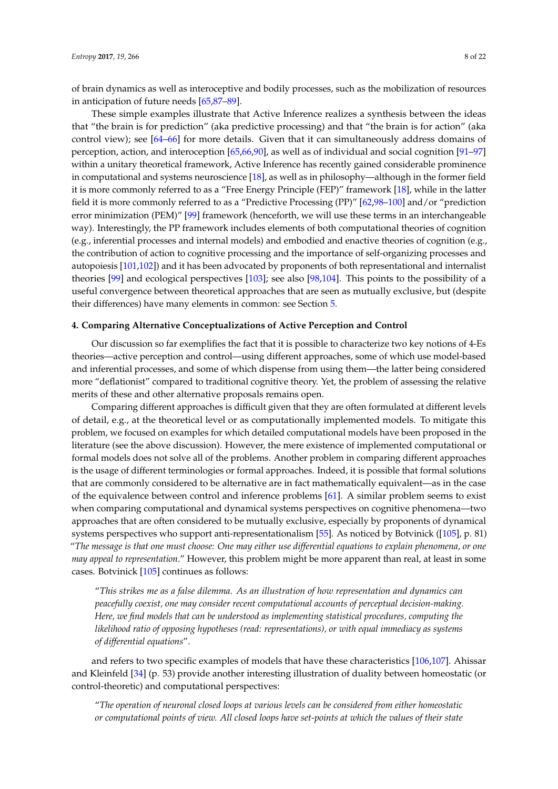of brain dynamics as well as interoceptive and bodily processes, such as the mobilization of resources in anticipation of future needs [\[65,](#page-18-12)[87–](#page-18-13)[89\]](#page-18-14).

These simple examples illustrate that Active Inference realizes a synthesis between the ideas that "the brain is for prediction" (aka predictive processing) and that "the brain is for action" (aka control view); see [\[64](#page-17-19)[–66\]](#page-18-0) for more details. Given that it can simultaneously address domains of perception, action, and interoception [\[65](#page-18-12)[,66](#page-18-0)[,90\]](#page-19-0), as well as of individual and social cognition [\[91](#page-19-1)[–97\]](#page-19-2) within a unitary theoretical framework, Active Inference has recently gained considerable prominence in computational and systems neuroscience [\[18\]](#page-16-29), as well as in philosophy—although in the former field it is more commonly referred to as a "Free Energy Principle (FEP)" framework [\[18\]](#page-16-29), while in the latter field it is more commonly referred to as a "Predictive Processing (PP)" [\[62](#page-17-18)[,98](#page-19-3)[–100\]](#page-19-4) and/or "prediction error minimization (PEM)" [\[99\]](#page-19-5) framework (henceforth, we will use these terms in an interchangeable way). Interestingly, the PP framework includes elements of both computational theories of cognition (e.g., inferential processes and internal models) and embodied and enactive theories of cognition (e.g., the contribution of action to cognitive processing and the importance of self-organizing processes and autopoiesis [\[101,](#page-19-6)[102\]](#page-19-7)) and it has been advocated by proponents of both representational and internalist theories [\[99\]](#page-19-5) and ecological perspectives [\[103\]](#page-19-8); see also [\[98,](#page-19-3)[104\]](#page-19-9). This points to the possibility of a useful convergence between theoretical approaches that are seen as mutually exclusive, but (despite their differences) have many elements in common: see Section [5.](#page-13-0)

#### <span id="page-7-0"></span>**4. Comparing Alternative Conceptualizations of Active Perception and Control**

Our discussion so far exemplifies the fact that it is possible to characterize two key notions of 4-Es theories—active perception and control—using different approaches, some of which use model-based and inferential processes, and some of which dispense from using them—the latter being considered more "deflationist" compared to traditional cognitive theory. Yet, the problem of assessing the relative merits of these and other alternative proposals remains open.

Comparing different approaches is difficult given that they are often formulated at different levels of detail, e.g., at the theoretical level or as computationally implemented models. To mitigate this problem, we focused on examples for which detailed computational models have been proposed in the literature (see the above discussion). However, the mere existence of implemented computational or formal models does not solve all of the problems. Another problem in comparing different approaches is the usage of different terminologies or formal approaches. Indeed, it is possible that formal solutions that are commonly considered to be alternative are in fact mathematically equivalent—as in the case of the equivalence between control and inference problems [\[61\]](#page-17-17). A similar problem seems to exist when comparing computational and dynamical systems perspectives on cognitive phenomena—two approaches that are often considered to be mutually exclusive, especially by proponents of dynamical systems perspectives who support anti-representationalism [\[55\]](#page-17-13). As noticed by Botvinick ([\[105\]](#page-19-10), p. 81) "*The message is that one must choose: One may either use differential equations to explain phenomena, or one may appeal to representation*." However, this problem might be more apparent than real, at least in some cases. Botvinick [\[105\]](#page-19-10) continues as follows:

"*This strikes me as a false dilemma. As an illustration of how representation and dynamics can peacefully coexist, one may consider recent computational accounts of perceptual decision-making. Here, we find models that can be understood as implementing statistical procedures, computing the likelihood ratio of opposing hypotheses (read: representations), or with equal immediacy as systems of differential equations*".

and refers to two specific examples of models that have these characteristics [\[106,](#page-19-11)[107\]](#page-19-12). Ahissar and Kleinfeld [\[34\]](#page-16-22) (p. 53) provide another interesting illustration of duality between homeostatic (or control-theoretic) and computational perspectives:

"*The operation of neuronal closed loops at various levels can be considered from either homeostatic or computational points of view. All closed loops have set-points at which the values of their state*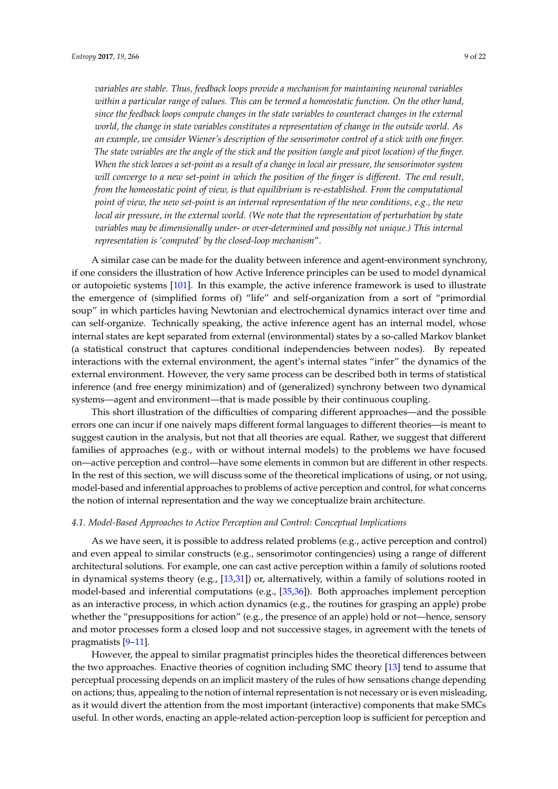*variables are stable. Thus, feedback loops provide a mechanism for maintaining neuronal variables within a particular range of values. This can be termed a homeostatic function. On the other hand, since the feedback loops compute changes in the state variables to counteract changes in the external world, the change in state variables constitutes a representation of change in the outside world. As an example, we consider Wiener's description of the sensorimotor control of a stick with one finger. The state variables are the angle of the stick and the position (angle and pivot location) of the finger. When the stick leaves a set-point as a result of a change in local air pressure, the sensorimotor system will converge to a new set-point in which the position of the finger is different. The end result, from the homeostatic point of view, is that equilibrium is re-established. From the computational point of view, the new set-point is an internal representation of the new conditions, e.g., the new local air pressure, in the external world. (We note that the representation of perturbation by state variables may be dimensionally under- or over-determined and possibly not unique.) This internal representation is 'computed' by the closed-loop mechanism*".

A similar case can be made for the duality between inference and agent-environment synchrony, if one considers the illustration of how Active Inference principles can be used to model dynamical or autopoietic systems [\[101\]](#page-19-6). In this example, the active inference framework is used to illustrate the emergence of (simplified forms of) "life" and self-organization from a sort of "primordial soup" in which particles having Newtonian and electrochemical dynamics interact over time and can self-organize. Technically speaking, the active inference agent has an internal model, whose internal states are kept separated from external (environmental) states by a so-called Markov blanket (a statistical construct that captures conditional independencies between nodes). By repeated interactions with the external environment, the agent's internal states "infer" the dynamics of the external environment. However, the very same process can be described both in terms of statistical inference (and free energy minimization) and of (generalized) synchrony between two dynamical systems—agent and environment—that is made possible by their continuous coupling.

This short illustration of the difficulties of comparing different approaches—and the possible errors one can incur if one naively maps different formal languages to different theories—is meant to suggest caution in the analysis, but not that all theories are equal. Rather, we suggest that different families of approaches (e.g., with or without internal models) to the problems we have focused on—active perception and control—have some elements in common but are different in other respects. In the rest of this section, we will discuss some of the theoretical implications of using, or not using, model-based and inferential approaches to problems of active perception and control, for what concerns the notion of internal representation and the way we conceptualize brain architecture.

# *4.1. Model-Based Approaches to Active Perception and Control: Conceptual Implications*

As we have seen, it is possible to address related problems (e.g., active perception and control) and even appeal to similar constructs (e.g., sensorimotor contingencies) using a range of different architectural solutions. For example, one can cast active perception within a family of solutions rooted in dynamical systems theory (e.g., [\[13](#page-16-4)[,31\]](#page-16-19)) or, alternatively, within a family of solutions rooted in model-based and inferential computations (e.g., [\[35](#page-16-23)[,36\]](#page-16-28)). Both approaches implement perception as an interactive process, in which action dynamics (e.g., the routines for grasping an apple) probe whether the "presuppositions for action" (e.g., the presence of an apple) hold or not—hence, sensory and motor processes form a closed loop and not successive stages, in agreement with the tenets of pragmatists [\[9](#page-16-1)[–11\]](#page-16-2).

However, the appeal to similar pragmatist principles hides the theoretical differences between the two approaches. Enactive theories of cognition including SMC theory [\[13\]](#page-16-4) tend to assume that perceptual processing depends on an implicit mastery of the rules of how sensations change depending on actions; thus, appealing to the notion of internal representation is not necessary or is even misleading, as it would divert the attention from the most important (interactive) components that make SMCs useful. In other words, enacting an apple-related action-perception loop is sufficient for perception and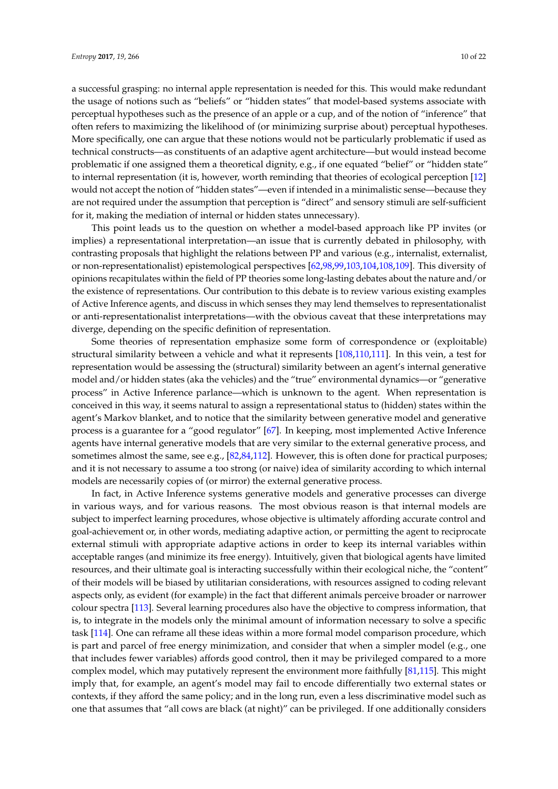a successful grasping: no internal apple representation is needed for this. This would make redundant the usage of notions such as "beliefs" or "hidden states" that model-based systems associate with perceptual hypotheses such as the presence of an apple or a cup, and of the notion of "inference" that often refers to maximizing the likelihood of (or minimizing surprise about) perceptual hypotheses. More specifically, one can argue that these notions would not be particularly problematic if used as technical constructs—as constituents of an adaptive agent architecture—but would instead become problematic if one assigned them a theoretical dignity, e.g., if one equated "belief" or "hidden state" to internal representation (it is, however, worth reminding that theories of ecological perception [\[12\]](#page-16-3) would not accept the notion of "hidden states"—even if intended in a minimalistic sense—because they are not required under the assumption that perception is "direct" and sensory stimuli are self-sufficient for it, making the mediation of internal or hidden states unnecessary).

This point leads us to the question on whether a model-based approach like PP invites (or implies) a representational interpretation—an issue that is currently debated in philosophy, with contrasting proposals that highlight the relations between PP and various (e.g., internalist, externalist, or non-representationalist) epistemological perspectives [\[62,](#page-17-18)[98](#page-19-3)[,99](#page-19-5)[,103](#page-19-8)[,104](#page-19-9)[,108](#page-19-13)[,109\]](#page-19-14). This diversity of opinions recapitulates within the field of PP theories some long-lasting debates about the nature and/or the existence of representations. Our contribution to this debate is to review various existing examples of Active Inference agents, and discuss in which senses they may lend themselves to representationalist or anti-representationalist interpretations—with the obvious caveat that these interpretations may diverge, depending on the specific definition of representation.

Some theories of representation emphasize some form of correspondence or (exploitable) structural similarity between a vehicle and what it represents [\[108](#page-19-13)[,110](#page-19-15)[,111\]](#page-19-16). In this vein, a test for representation would be assessing the (structural) similarity between an agent's internal generative model and/or hidden states (aka the vehicles) and the "true" environmental dynamics—or "generative process" in Active Inference parlance—which is unknown to the agent. When representation is conceived in this way, it seems natural to assign a representational status to (hidden) states within the agent's Markov blanket, and to notice that the similarity between generative model and generative process is a guarantee for a "good regulator" [\[67\]](#page-18-1). In keeping, most implemented Active Inference agents have internal generative models that are very similar to the external generative process, and sometimes almost the same, see e.g., [\[82,](#page-18-15)[84,](#page-18-16)[112\]](#page-19-17). However, this is often done for practical purposes; and it is not necessary to assume a too strong (or naive) idea of similarity according to which internal models are necessarily copies of (or mirror) the external generative process.

In fact, in Active Inference systems generative models and generative processes can diverge in various ways, and for various reasons. The most obvious reason is that internal models are subject to imperfect learning procedures, whose objective is ultimately affording accurate control and goal-achievement or, in other words, mediating adaptive action, or permitting the agent to reciprocate external stimuli with appropriate adaptive actions in order to keep its internal variables within acceptable ranges (and minimize its free energy). Intuitively, given that biological agents have limited resources, and their ultimate goal is interacting successfully within their ecological niche, the "content" of their models will be biased by utilitarian considerations, with resources assigned to coding relevant aspects only, as evident (for example) in the fact that different animals perceive broader or narrower colour spectra [\[113\]](#page-19-18). Several learning procedures also have the objective to compress information, that is, to integrate in the models only the minimal amount of information necessary to solve a specific task [\[114\]](#page-19-19). One can reframe all these ideas within a more formal model comparison procedure, which is part and parcel of free energy minimization, and consider that when a simpler model (e.g., one that includes fewer variables) affords good control, then it may be privileged compared to a more complex model, which may putatively represent the environment more faithfully [\[81](#page-18-17)[,115\]](#page-19-20). This might imply that, for example, an agent's model may fail to encode differentially two external states or contexts, if they afford the same policy; and in the long run, even a less discriminative model such as one that assumes that "all cows are black (at night)" can be privileged. If one additionally considers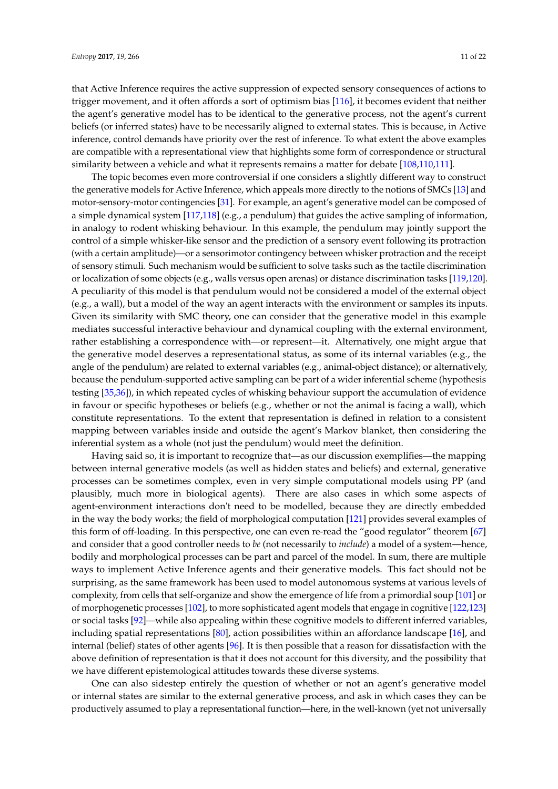that Active Inference requires the active suppression of expected sensory consequences of actions to trigger movement, and it often affords a sort of optimism bias [\[116\]](#page-19-21), it becomes evident that neither the agent's generative model has to be identical to the generative process, not the agent's current beliefs (or inferred states) have to be necessarily aligned to external states. This is because, in Active inference, control demands have priority over the rest of inference. To what extent the above examples are compatible with a representational view that highlights some form of correspondence or structural similarity between a vehicle and what it represents remains a matter for debate [\[108](#page-19-13)[,110,](#page-19-15)[111\]](#page-19-16).

The topic becomes even more controversial if one considers a slightly different way to construct the generative models for Active Inference, which appeals more directly to the notions of SMCs [\[13\]](#page-16-4) and motor-sensory-motor contingencies [\[31\]](#page-16-19). For example, an agent's generative model can be composed of a simple dynamical system [\[117,](#page-19-22)[118\]](#page-20-0) (e.g., a pendulum) that guides the active sampling of information, in analogy to rodent whisking behaviour. In this example, the pendulum may jointly support the control of a simple whisker-like sensor and the prediction of a sensory event following its protraction (with a certain amplitude)—or a sensorimotor contingency between whisker protraction and the receipt of sensory stimuli. Such mechanism would be sufficient to solve tasks such as the tactile discrimination or localization of some objects (e.g., walls versus open arenas) or distance discrimination tasks [\[119](#page-20-1)[,120\]](#page-20-2). A peculiarity of this model is that pendulum would not be considered a model of the external object (e.g., a wall), but a model of the way an agent interacts with the environment or samples its inputs. Given its similarity with SMC theory, one can consider that the generative model in this example mediates successful interactive behaviour and dynamical coupling with the external environment, rather establishing a correspondence with—or represent—it. Alternatively, one might argue that the generative model deserves a representational status, as some of its internal variables (e.g., the angle of the pendulum) are related to external variables (e.g., animal-object distance); or alternatively, because the pendulum-supported active sampling can be part of a wider inferential scheme (hypothesis testing [\[35](#page-16-23)[,36\]](#page-16-28)), in which repeated cycles of whisking behaviour support the accumulation of evidence in favour or specific hypotheses or beliefs (e.g., whether or not the animal is facing a wall), which constitute representations. To the extent that representation is defined in relation to a consistent mapping between variables inside and outside the agent's Markov blanket, then considering the inferential system as a whole (not just the pendulum) would meet the definition.

Having said so, it is important to recognize that—as our discussion exemplifies—the mapping between internal generative models (as well as hidden states and beliefs) and external, generative processes can be sometimes complex, even in very simple computational models using PP (and plausibly, much more in biological agents). There are also cases in which some aspects of agent-environment interactions don't need to be modelled, because they are directly embedded in the way the body works; the field of morphological computation [\[121\]](#page-20-3) provides several examples of this form of off-loading. In this perspective, one can even re-read the "good regulator" theorem [\[67\]](#page-18-1) and consider that a good controller needs to *be* (not necessarily to *include*) a model of a system—hence, bodily and morphological processes can be part and parcel of the model. In sum, there are multiple ways to implement Active Inference agents and their generative models. This fact should not be surprising, as the same framework has been used to model autonomous systems at various levels of complexity, from cells that self-organize and show the emergence of life from a primordial soup [\[101\]](#page-19-6) or of morphogenetic processes [\[102\]](#page-19-7), to more sophisticated agent models that engage in cognitive [\[122,](#page-20-4)[123\]](#page-20-5) or social tasks [\[92\]](#page-19-23)—while also appealing within these cognitive models to different inferred variables, including spatial representations [\[80\]](#page-18-10), action possibilities within an affordance landscape [\[16\]](#page-16-7), and internal (belief) states of other agents [\[96\]](#page-19-24). It is then possible that a reason for dissatisfaction with the above definition of representation is that it does not account for this diversity, and the possibility that we have different epistemological attitudes towards these diverse systems.

One can also sidestep entirely the question of whether or not an agent's generative model or internal states are similar to the external generative process, and ask in which cases they can be productively assumed to play a representational function—here, in the well-known (yet not universally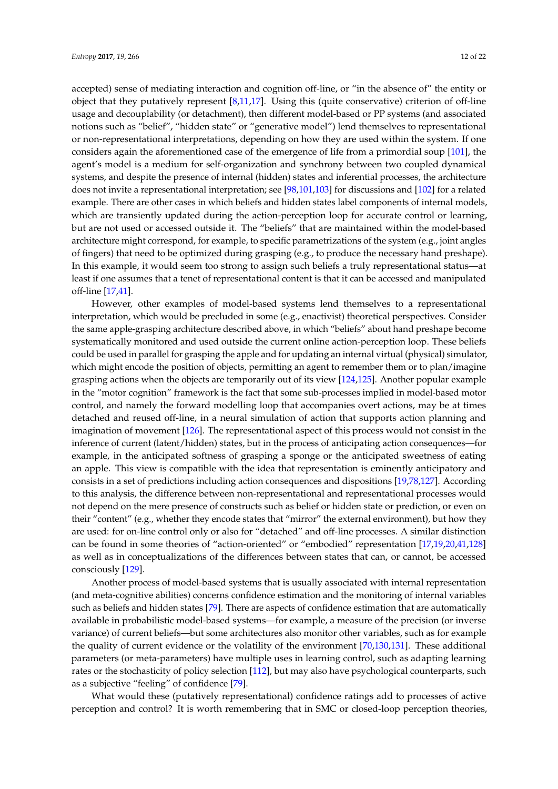accepted) sense of mediating interaction and cognition off-line, or "in the absence of" the entity or object that they putatively represent [\[8,](#page-16-0)[11,](#page-16-2)[17\]](#page-16-8). Using this (quite conservative) criterion of off-line usage and decouplability (or detachment), then different model-based or PP systems (and associated notions such as "belief", "hidden state" or "generative model") lend themselves to representational or non-representational interpretations, depending on how they are used within the system. If one considers again the aforementioned case of the emergence of life from a primordial soup [\[101\]](#page-19-6), the agent's model is a medium for self-organization and synchrony between two coupled dynamical systems, and despite the presence of internal (hidden) states and inferential processes, the architecture does not invite a representational interpretation; see [\[98](#page-19-3)[,101,](#page-19-6)[103\]](#page-19-8) for discussions and [\[102\]](#page-19-7) for a related example. There are other cases in which beliefs and hidden states label components of internal models, which are transiently updated during the action-perception loop for accurate control or learning, but are not used or accessed outside it. The "beliefs" that are maintained within the model-based architecture might correspond, for example, to specific parametrizations of the system (e.g., joint angles of fingers) that need to be optimized during grasping (e.g., to produce the necessary hand preshape). In this example, it would seem too strong to assign such beliefs a truly representational status—at least if one assumes that a tenet of representational content is that it can be accessed and manipulated off-line [\[17](#page-16-8)[,41\]](#page-17-1).

However, other examples of model-based systems lend themselves to a representational interpretation, which would be precluded in some (e.g., enactivist) theoretical perspectives. Consider the same apple-grasping architecture described above, in which "beliefs" about hand preshape become systematically monitored and used outside the current online action-perception loop. These beliefs could be used in parallel for grasping the apple and for updating an internal virtual (physical) simulator, which might encode the position of objects, permitting an agent to remember them or to plan/imagine grasping actions when the objects are temporarily out of its view [\[124](#page-20-6)[,125\]](#page-20-7). Another popular example in the "motor cognition" framework is the fact that some sub-processes implied in model-based motor control, and namely the forward modelling loop that accompanies overt actions, may be at times detached and reused off-line, in a neural simulation of action that supports action planning and imagination of movement [\[126\]](#page-20-8). The representational aspect of this process would not consist in the inference of current (latent/hidden) states, but in the process of anticipating action consequences—for example, in the anticipated softness of grasping a sponge or the anticipated sweetness of eating an apple. This view is compatible with the idea that representation is eminently anticipatory and consists in a set of predictions including action consequences and dispositions [\[19,](#page-16-26)[78,](#page-18-8)[127\]](#page-20-9). According to this analysis, the difference between non-representational and representational processes would not depend on the mere presence of constructs such as belief or hidden state or prediction, or even on their "content" (e.g., whether they encode states that "mirror" the external environment), but how they are used: for on-line control only or also for "detached" and off-line processes. A similar distinction can be found in some theories of "action-oriented" or "embodied" representation [\[17](#page-16-8)[,19](#page-16-26)[,20](#page-16-27)[,41](#page-17-1)[,128\]](#page-20-10) as well as in conceptualizations of the differences between states that can, or cannot, be accessed consciously [\[129\]](#page-20-11).

Another process of model-based systems that is usually associated with internal representation (and meta-cognitive abilities) concerns confidence estimation and the monitoring of internal variables such as beliefs and hidden states [\[79\]](#page-18-9). There are aspects of confidence estimation that are automatically available in probabilistic model-based systems—for example, a measure of the precision (or inverse variance) of current beliefs—but some architectures also monitor other variables, such as for example the quality of current evidence or the volatility of the environment [\[70,](#page-18-18)[130,](#page-20-12)[131\]](#page-20-13). These additional parameters (or meta-parameters) have multiple uses in learning control, such as adapting learning rates or the stochasticity of policy selection [\[112\]](#page-19-17), but may also have psychological counterparts, such as a subjective "feeling" of confidence [\[79\]](#page-18-9).

What would these (putatively representational) confidence ratings add to processes of active perception and control? It is worth remembering that in SMC or closed-loop perception theories,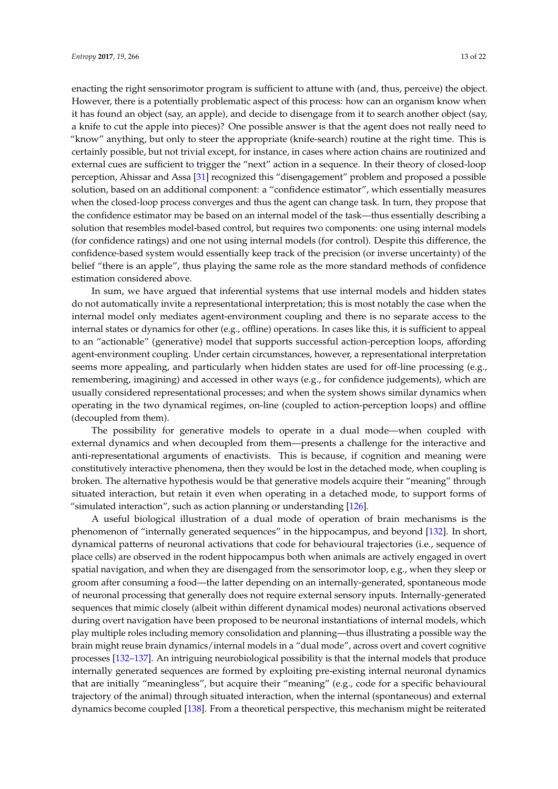enacting the right sensorimotor program is sufficient to attune with (and, thus, perceive) the object. However, there is a potentially problematic aspect of this process: how can an organism know when it has found an object (say, an apple), and decide to disengage from it to search another object (say, a knife to cut the apple into pieces)? One possible answer is that the agent does not really need to "know" anything, but only to steer the appropriate (knife-search) routine at the right time. This is certainly possible, but not trivial except, for instance, in cases where action chains are routinized and external cues are sufficient to trigger the "next" action in a sequence. In their theory of closed-loop perception, Ahissar and Assa [\[31\]](#page-16-19) recognized this "disengagement" problem and proposed a possible solution, based on an additional component: a "confidence estimator", which essentially measures when the closed-loop process converges and thus the agent can change task. In turn, they propose that the confidence estimator may be based on an internal model of the task—thus essentially describing a solution that resembles model-based control, but requires two components: one using internal models (for confidence ratings) and one not using internal models (for control). Despite this difference, the confidence-based system would essentially keep track of the precision (or inverse uncertainty) of the belief "there is an apple", thus playing the same role as the more standard methods of confidence estimation considered above.

In sum, we have argued that inferential systems that use internal models and hidden states do not automatically invite a representational interpretation; this is most notably the case when the internal model only mediates agent-environment coupling and there is no separate access to the internal states or dynamics for other (e.g., offline) operations. In cases like this, it is sufficient to appeal to an "actionable" (generative) model that supports successful action-perception loops, affording agent-environment coupling. Under certain circumstances, however, a representational interpretation seems more appealing, and particularly when hidden states are used for off-line processing (e.g., remembering, imagining) and accessed in other ways (e.g., for confidence judgements), which are usually considered representational processes; and when the system shows similar dynamics when operating in the two dynamical regimes, on-line (coupled to action-perception loops) and offline (decoupled from them).

The possibility for generative models to operate in a dual mode—when coupled with external dynamics and when decoupled from them—presents a challenge for the interactive and anti-representational arguments of enactivists. This is because, if cognition and meaning were constitutively interactive phenomena, then they would be lost in the detached mode, when coupling is broken. The alternative hypothesis would be that generative models acquire their "meaning" through situated interaction, but retain it even when operating in a detached mode, to support forms of "simulated interaction", such as action planning or understanding [\[126\]](#page-20-8).

A useful biological illustration of a dual mode of operation of brain mechanisms is the phenomenon of "internally generated sequences" in the hippocampus, and beyond [\[132\]](#page-20-14). In short, dynamical patterns of neuronal activations that code for behavioural trajectories (i.e., sequence of place cells) are observed in the rodent hippocampus both when animals are actively engaged in overt spatial navigation, and when they are disengaged from the sensorimotor loop, e.g., when they sleep or groom after consuming a food—the latter depending on an internally-generated, spontaneous mode of neuronal processing that generally does not require external sensory inputs. Internally-generated sequences that mimic closely (albeit within different dynamical modes) neuronal activations observed during overt navigation have been proposed to be neuronal instantiations of internal models, which play multiple roles including memory consolidation and planning—thus illustrating a possible way the brain might reuse brain dynamics/internal models in a "dual mode", across overt and covert cognitive processes [\[132](#page-20-14)[–137\]](#page-20-15). An intriguing neurobiological possibility is that the internal models that produce internally generated sequences are formed by exploiting pre-existing internal neuronal dynamics that are initially "meaningless", but acquire their "meaning" (e.g., code for a specific behavioural trajectory of the animal) through situated interaction, when the internal (spontaneous) and external dynamics become coupled [\[138\]](#page-20-16). From a theoretical perspective, this mechanism might be reiterated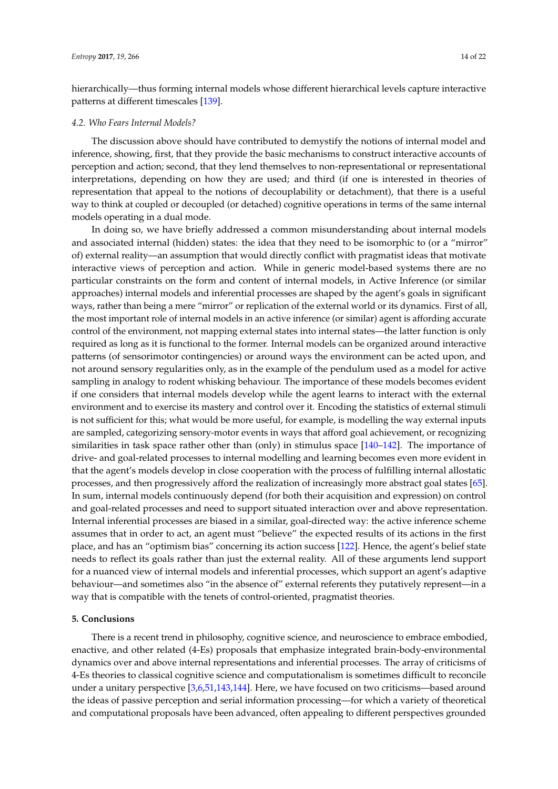hierarchically—thus forming internal models whose different hierarchical levels capture interactive patterns at different timescales [\[139\]](#page-20-17).

#### *4.2. Who Fears Internal Models?*

The discussion above should have contributed to demystify the notions of internal model and inference, showing, first, that they provide the basic mechanisms to construct interactive accounts of perception and action; second, that they lend themselves to non-representational or representational interpretations, depending on how they are used; and third (if one is interested in theories of representation that appeal to the notions of decouplability or detachment), that there is a useful way to think at coupled or decoupled (or detached) cognitive operations in terms of the same internal models operating in a dual mode.

In doing so, we have briefly addressed a common misunderstanding about internal models and associated internal (hidden) states: the idea that they need to be isomorphic to (or a "mirror" of) external reality—an assumption that would directly conflict with pragmatist ideas that motivate interactive views of perception and action. While in generic model-based systems there are no particular constraints on the form and content of internal models, in Active Inference (or similar approaches) internal models and inferential processes are shaped by the agent's goals in significant ways, rather than being a mere "mirror" or replication of the external world or its dynamics. First of all, the most important role of internal models in an active inference (or similar) agent is affording accurate control of the environment, not mapping external states into internal states—the latter function is only required as long as it is functional to the former. Internal models can be organized around interactive patterns (of sensorimotor contingencies) or around ways the environment can be acted upon, and not around sensory regularities only, as in the example of the pendulum used as a model for active sampling in analogy to rodent whisking behaviour. The importance of these models becomes evident if one considers that internal models develop while the agent learns to interact with the external environment and to exercise its mastery and control over it. Encoding the statistics of external stimuli is not sufficient for this; what would be more useful, for example, is modelling the way external inputs are sampled, categorizing sensory-motor events in ways that afford goal achievement, or recognizing similarities in task space rather other than (only) in stimulus space [\[140–](#page-20-18)[142\]](#page-20-19). The importance of drive- and goal-related processes to internal modelling and learning becomes even more evident in that the agent's models develop in close cooperation with the process of fulfilling internal allostatic processes, and then progressively afford the realization of increasingly more abstract goal states [\[65\]](#page-18-12). In sum, internal models continuously depend (for both their acquisition and expression) on control and goal-related processes and need to support situated interaction over and above representation. Internal inferential processes are biased in a similar, goal-directed way: the active inference scheme assumes that in order to act, an agent must "believe" the expected results of its actions in the first place, and has an "optimism bias" concerning its action success [\[122\]](#page-20-4). Hence, the agent's belief state needs to reflect its goals rather than just the external reality. All of these arguments lend support for a nuanced view of internal models and inferential processes, which support an agent's adaptive behaviour—and sometimes also "in the absence of" external referents they putatively represent—in a way that is compatible with the tenets of control-oriented, pragmatist theories.

# <span id="page-13-0"></span>**5. Conclusions**

There is a recent trend in philosophy, cognitive science, and neuroscience to embrace embodied, enactive, and other related (4-Es) proposals that emphasize integrated brain-body-environmental dynamics over and above internal representations and inferential processes. The array of criticisms of 4-Es theories to classical cognitive science and computationalism is sometimes difficult to reconcile under a unitary perspective [\[3,](#page-15-2)[6,](#page-15-4)[51,](#page-17-20)[143,](#page-20-20)[144\]](#page-20-21). Here, we have focused on two criticisms—based around the ideas of passive perception and serial information processing—for which a variety of theoretical and computational proposals have been advanced, often appealing to different perspectives grounded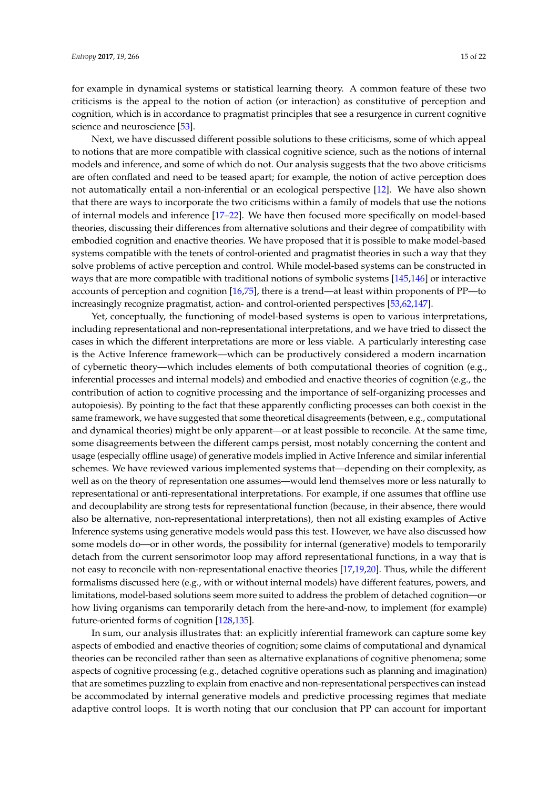for example in dynamical systems or statistical learning theory. A common feature of these two criticisms is the appeal to the notion of action (or interaction) as constitutive of perception and cognition, which is in accordance to pragmatist principles that see a resurgence in current cognitive science and neuroscience [\[53\]](#page-17-11).

Next, we have discussed different possible solutions to these criticisms, some of which appeal to notions that are more compatible with classical cognitive science, such as the notions of internal models and inference, and some of which do not. Our analysis suggests that the two above criticisms are often conflated and need to be teased apart; for example, the notion of active perception does not automatically entail a non-inferential or an ecological perspective [\[12\]](#page-16-3). We have also shown that there are ways to incorporate the two criticisms within a family of models that use the notions of internal models and inference [\[17–](#page-16-8)[22\]](#page-16-9). We have then focused more specifically on model-based theories, discussing their differences from alternative solutions and their degree of compatibility with embodied cognition and enactive theories. We have proposed that it is possible to make model-based systems compatible with the tenets of control-oriented and pragmatist theories in such a way that they solve problems of active perception and control. While model-based systems can be constructed in ways that are more compatible with traditional notions of symbolic systems [\[145](#page-21-0)[,146\]](#page-21-1) or interactive accounts of perception and cognition [\[16,](#page-16-7)[75\]](#page-18-5), there is a trend—at least within proponents of PP—to increasingly recognize pragmatist, action- and control-oriented perspectives [\[53,](#page-17-11)[62,](#page-17-18)[147\]](#page-21-2).

Yet, conceptually, the functioning of model-based systems is open to various interpretations, including representational and non-representational interpretations, and we have tried to dissect the cases in which the different interpretations are more or less viable. A particularly interesting case is the Active Inference framework—which can be productively considered a modern incarnation of cybernetic theory—which includes elements of both computational theories of cognition (e.g., inferential processes and internal models) and embodied and enactive theories of cognition (e.g., the contribution of action to cognitive processing and the importance of self-organizing processes and autopoiesis). By pointing to the fact that these apparently conflicting processes can both coexist in the same framework, we have suggested that some theoretical disagreements (between, e.g., computational and dynamical theories) might be only apparent—or at least possible to reconcile. At the same time, some disagreements between the different camps persist, most notably concerning the content and usage (especially offline usage) of generative models implied in Active Inference and similar inferential schemes. We have reviewed various implemented systems that—depending on their complexity, as well as on the theory of representation one assumes—would lend themselves more or less naturally to representational or anti-representational interpretations. For example, if one assumes that offline use and decouplability are strong tests for representational function (because, in their absence, there would also be alternative, non-representational interpretations), then not all existing examples of Active Inference systems using generative models would pass this test. However, we have also discussed how some models do—or in other words, the possibility for internal (generative) models to temporarily detach from the current sensorimotor loop may afford representational functions, in a way that is not easy to reconcile with non-representational enactive theories [\[17,](#page-16-8)[19,](#page-16-26)[20\]](#page-16-27). Thus, while the different formalisms discussed here (e.g., with or without internal models) have different features, powers, and limitations, model-based solutions seem more suited to address the problem of detached cognition—or how living organisms can temporarily detach from the here-and-now, to implement (for example) future-oriented forms of cognition [\[128,](#page-20-10)[135\]](#page-20-22).

In sum, our analysis illustrates that: an explicitly inferential framework can capture some key aspects of embodied and enactive theories of cognition; some claims of computational and dynamical theories can be reconciled rather than seen as alternative explanations of cognitive phenomena; some aspects of cognitive processing (e.g., detached cognitive operations such as planning and imagination) that are sometimes puzzling to explain from enactive and non-representational perspectives can instead be accommodated by internal generative models and predictive processing regimes that mediate adaptive control loops. It is worth noting that our conclusion that PP can account for important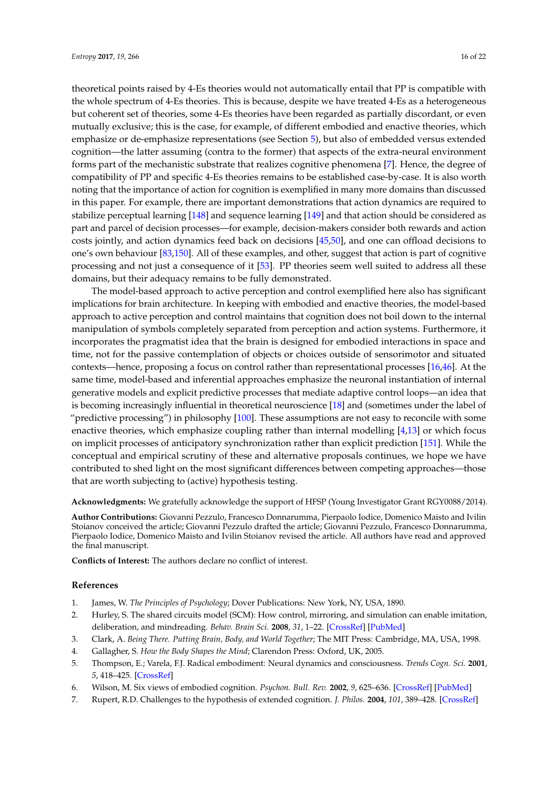theoretical points raised by 4-Es theories would not automatically entail that PP is compatible with the whole spectrum of 4-Es theories. This is because, despite we have treated 4-Es as a heterogeneous but coherent set of theories, some 4-Es theories have been regarded as partially discordant, or even mutually exclusive; this is the case, for example, of different embodied and enactive theories, which emphasize or de-emphasize representations (see Section [5\)](#page-13-0), but also of embedded versus extended cognition—the latter assuming (contra to the former) that aspects of the extra-neural environment forms part of the mechanistic substrate that realizes cognitive phenomena [\[7\]](#page-15-5). Hence, the degree of compatibility of PP and specific 4-Es theories remains to be established case-by-case. It is also worth noting that the importance of action for cognition is exemplified in many more domains than discussed in this paper. For example, there are important demonstrations that action dynamics are required to stabilize perceptual learning [\[148\]](#page-21-3) and sequence learning [\[149\]](#page-21-4) and that action should be considered as part and parcel of decision processes—for example, decision-makers consider both rewards and action costs jointly, and action dynamics feed back on decisions [\[45](#page-17-5)[,50\]](#page-17-9), and one can offload decisions to one's own behaviour [\[83](#page-18-19)[,150\]](#page-21-5). All of these examples, and other, suggest that action is part of cognitive processing and not just a consequence of it [\[53\]](#page-17-11). PP theories seem well suited to address all these domains, but their adequacy remains to be fully demonstrated.

The model-based approach to active perception and control exemplified here also has significant implications for brain architecture. In keeping with embodied and enactive theories, the model-based approach to active perception and control maintains that cognition does not boil down to the internal manipulation of symbols completely separated from perception and action systems. Furthermore, it incorporates the pragmatist idea that the brain is designed for embodied interactions in space and time, not for the passive contemplation of objects or choices outside of sensorimotor and situated contexts—hence, proposing a focus on control rather than representational processes [\[16,](#page-16-7)[46\]](#page-17-6). At the same time, model-based and inferential approaches emphasize the neuronal instantiation of internal generative models and explicit predictive processes that mediate adaptive control loops—an idea that is becoming increasingly influential in theoretical neuroscience [\[18\]](#page-16-29) and (sometimes under the label of "predictive processing") in philosophy  $[100]$ . These assumptions are not easy to reconcile with some enactive theories, which emphasize coupling rather than internal modelling [\[4](#page-15-3)[,13\]](#page-16-4) or which focus on implicit processes of anticipatory synchronization rather than explicit prediction [\[151\]](#page-21-6). While the conceptual and empirical scrutiny of these and alternative proposals continues, we hope we have contributed to shed light on the most significant differences between competing approaches—those that are worth subjecting to (active) hypothesis testing.

**Acknowledgments:** We gratefully acknowledge the support of HFSP (Young Investigator Grant RGY0088/2014).

**Author Contributions:** Giovanni Pezzulo, Francesco Donnarumma, Pierpaolo Iodice, Domenico Maisto and Ivilin Stoianov conceived the article; Giovanni Pezzulo drafted the article; Giovanni Pezzulo, Francesco Donnarumma, Pierpaolo Iodice, Domenico Maisto and Ivilin Stoianov revised the article. All authors have read and approved the final manuscript.

**Conflicts of Interest:** The authors declare no conflict of interest.

#### **References**

- <span id="page-15-0"></span>1. James, W. *The Principles of Psychology*; Dover Publications: New York, NY, USA, 1890.
- <span id="page-15-1"></span>2. Hurley, S. The shared circuits model (SCM): How control, mirroring, and simulation can enable imitation, deliberation, and mindreading. *Behav. Brain Sci.* **2008**, *31*, 1–22. [\[CrossRef\]](http://dx.doi.org/10.1017/S0140525X07003123) [\[PubMed\]](http://www.ncbi.nlm.nih.gov/pubmed/18394222)
- <span id="page-15-2"></span>3. Clark, A. *Being There. Putting Brain, Body, and World Together*; The MIT Press: Cambridge, MA, USA, 1998.
- <span id="page-15-3"></span>4. Gallagher, S. *How the Body Shapes the Mind*; Clarendon Press: Oxford, UK, 2005.
- 5. Thompson, E.; Varela, F.J. Radical embodiment: Neural dynamics and consciousness. *Trends Cogn. Sci.* **2001**, *5*, 418–425. [\[CrossRef\]](http://dx.doi.org/10.1016/S1364-6613(00)01750-2)
- <span id="page-15-4"></span>6. Wilson, M. Six views of embodied cognition. *Psychon. Bull. Rev.* **2002**, *9*, 625–636. [\[CrossRef\]](http://dx.doi.org/10.3758/BF03196322) [\[PubMed\]](http://www.ncbi.nlm.nih.gov/pubmed/12613670)
- <span id="page-15-5"></span>7. Rupert, R.D. Challenges to the hypothesis of extended cognition. *J. Philos.* **2004**, *101*, 389–428. [\[CrossRef\]](http://dx.doi.org/10.5840/jphil2004101826)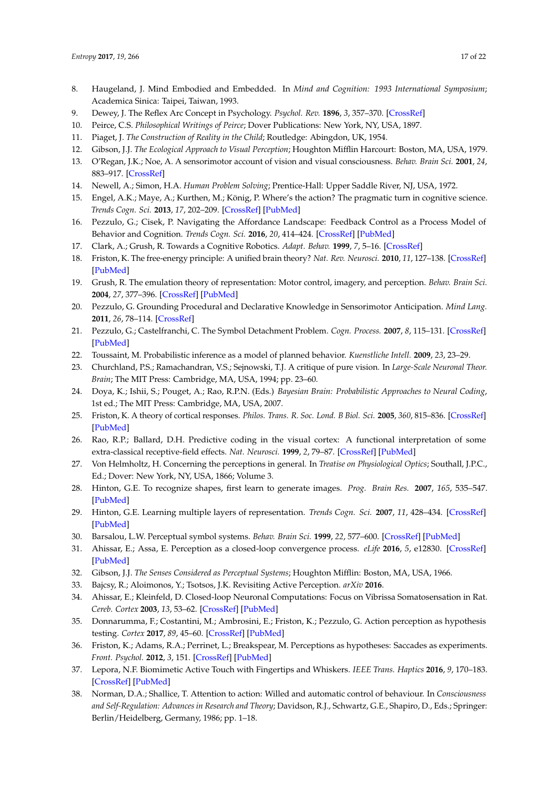- <span id="page-16-0"></span>8. Haugeland, J. Mind Embodied and Embedded. In *Mind and Cognition: 1993 International Symposium*; Academica Sinica: Taipei, Taiwan, 1993.
- <span id="page-16-1"></span>9. Dewey, J. The Reflex Arc Concept in Psychology. *Psychol. Rev.* **1896**, *3*, 357–370. [\[CrossRef\]](http://dx.doi.org/10.1037/h0070405)
- 10. Peirce, C.S. *Philosophical Writings of Peirce*; Dover Publications: New York, NY, USA, 1897.
- <span id="page-16-2"></span>11. Piaget, J. *The Construction of Reality in the Child*; Routledge: Abingdon, UK, 1954.
- <span id="page-16-3"></span>12. Gibson, J.J. *The Ecological Approach to Visual Perception*; Houghton Mifflin Harcourt: Boston, MA, USA, 1979.
- <span id="page-16-4"></span>13. O'Regan, J.K.; Noe, A. A sensorimotor account of vision and visual consciousness. *Behav. Brain Sci.* **2001**, *24*, 883–917. [\[CrossRef\]](http://dx.doi.org/10.1017/S0140525X01000115)
- <span id="page-16-5"></span>14. Newell, A.; Simon, H.A. *Human Problem Solving*; Prentice-Hall: Upper Saddle River, NJ, USA, 1972.
- <span id="page-16-6"></span>15. Engel, A.K.; Maye, A.; Kurthen, M.; König, P. Where's the action? The pragmatic turn in cognitive science. *Trends Cogn. Sci.* **2013**, *17*, 202–209. [\[CrossRef\]](http://dx.doi.org/10.1016/j.tics.2013.03.006) [\[PubMed\]](http://www.ncbi.nlm.nih.gov/pubmed/23608361)
- <span id="page-16-7"></span>16. Pezzulo, G.; Cisek, P. Navigating the Affordance Landscape: Feedback Control as a Process Model of Behavior and Cognition. *Trends Cogn. Sci.* **2016**, *20*, 414–424. [\[CrossRef\]](http://dx.doi.org/10.1016/j.tics.2016.03.013) [\[PubMed\]](http://www.ncbi.nlm.nih.gov/pubmed/27118642)
- <span id="page-16-8"></span>17. Clark, A.; Grush, R. Towards a Cognitive Robotics. *Adapt. Behav.* **1999**, *7*, 5–16. [\[CrossRef\]](http://dx.doi.org/10.1177/105971239900700101)
- <span id="page-16-29"></span>18. Friston, K. The free-energy principle: A unified brain theory? *Nat. Rev. Neurosci.* **2010**, *11*, 127–138. [\[CrossRef\]](http://dx.doi.org/10.1038/nrn2787) [\[PubMed\]](http://www.ncbi.nlm.nih.gov/pubmed/20068583)
- <span id="page-16-26"></span>19. Grush, R. The emulation theory of representation: Motor control, imagery, and perception. *Behav. Brain Sci.* **2004**, *27*, 377–396. [\[CrossRef\]](http://dx.doi.org/10.1017/S0140525X04000093) [\[PubMed\]](http://www.ncbi.nlm.nih.gov/pubmed/15736871)
- <span id="page-16-27"></span>20. Pezzulo, G. Grounding Procedural and Declarative Knowledge in Sensorimotor Anticipation. *Mind Lang.* **2011**, *26*, 78–114. [\[CrossRef\]](http://dx.doi.org/10.1111/j.1468-0017.2010.01411.x)
- <span id="page-16-10"></span>21. Pezzulo, G.; Castelfranchi, C. The Symbol Detachment Problem. *Cogn. Process.* **2007**, *8*, 115–131. [\[CrossRef\]](http://dx.doi.org/10.1007/s10339-007-0164-0) [\[PubMed\]](http://www.ncbi.nlm.nih.gov/pubmed/17406918)
- <span id="page-16-9"></span>22. Toussaint, M. Probabilistic inference as a model of planned behavior. *Kuenstliche Intell.* **2009**, *23*, 23–29.
- <span id="page-16-11"></span>23. Churchland, P.S.; Ramachandran, V.S.; Sejnowski, T.J. A critique of pure vision. In *Large-Scale Neuronal Theor. Brain*; The MIT Press: Cambridge, MA, USA, 1994; pp. 23–60.
- <span id="page-16-12"></span>24. Doya, K.; Ishii, S.; Pouget, A.; Rao, R.P.N. (Eds.) *Bayesian Brain: Probabilistic Approaches to Neural Coding*, 1st ed.; The MIT Press: Cambridge, MA, USA, 2007.
- <span id="page-16-13"></span>25. Friston, K. A theory of cortical responses. *Philos. Trans. R. Soc. Lond. B Biol. Sci.* **2005**, *360*, 815–836. [\[CrossRef\]](http://dx.doi.org/10.1098/rstb.2005.1622) [\[PubMed\]](http://www.ncbi.nlm.nih.gov/pubmed/15937014)
- <span id="page-16-14"></span>26. Rao, R.P.; Ballard, D.H. Predictive coding in the visual cortex: A functional interpretation of some extra-classical receptive-field effects. *Nat. Neurosci.* **1999**, *2*, 79–87. [\[CrossRef\]](http://dx.doi.org/10.1038/4580) [\[PubMed\]](http://www.ncbi.nlm.nih.gov/pubmed/10195184)
- <span id="page-16-15"></span>27. Von Helmholtz, H. Concerning the perceptions in general. In *Treatise on Physiological Optics*; Southall, J.P.C., Ed.; Dover: New York, NY, USA, 1866; Volume 3.
- <span id="page-16-16"></span>28. Hinton, G.E. To recognize shapes, first learn to generate images. *Prog. Brain Res.* **2007**, *165*, 535–547. [\[PubMed\]](http://www.ncbi.nlm.nih.gov/pubmed/17925269)
- <span id="page-16-17"></span>29. Hinton, G.E. Learning multiple layers of representation. *Trends Cogn. Sci.* **2007**, *11*, 428–434. [\[CrossRef\]](http://dx.doi.org/10.1016/j.tics.2007.09.004) [\[PubMed\]](http://www.ncbi.nlm.nih.gov/pubmed/17921042)
- <span id="page-16-18"></span>30. Barsalou, L.W. Perceptual symbol systems. *Behav. Brain Sci.* **1999**, *22*, 577–600. [\[CrossRef\]](http://dx.doi.org/10.1017/S0140525X99002149) [\[PubMed\]](http://www.ncbi.nlm.nih.gov/pubmed/11301525)
- <span id="page-16-19"></span>31. Ahissar, E.; Assa, E. Perception as a closed-loop convergence process. *eLife* **2016**, *5*, e12830. [\[CrossRef\]](http://dx.doi.org/10.7554/eLife.12830) [\[PubMed\]](http://www.ncbi.nlm.nih.gov/pubmed/27159238)
- <span id="page-16-20"></span>32. Gibson, J.J. *The Senses Considered as Perceptual Systems*; Houghton Mifflin: Boston, MA, USA, 1966.
- <span id="page-16-22"></span><span id="page-16-21"></span>33. Bajcsy, R.; Aloimonos, Y.; Tsotsos, J.K. Revisiting Active Perception. *arXiv* **2016**.
- 34. Ahissar, E.; Kleinfeld, D. Closed-loop Neuronal Computations: Focus on Vibrissa Somatosensation in Rat. *Cereb. Cortex* **2003**, *13*, 53–62. [\[CrossRef\]](http://dx.doi.org/10.1093/cercor/13.1.53) [\[PubMed\]](http://www.ncbi.nlm.nih.gov/pubmed/12466215)
- <span id="page-16-23"></span>35. Donnarumma, F.; Costantini, M.; Ambrosini, E.; Friston, K.; Pezzulo, G. Action perception as hypothesis testing. *Cortex* **2017**, *89*, 45–60. [\[CrossRef\]](http://dx.doi.org/10.1016/j.cortex.2017.01.016) [\[PubMed\]](http://www.ncbi.nlm.nih.gov/pubmed/28226255)
- <span id="page-16-28"></span>36. Friston, K.; Adams, R.A.; Perrinet, L.; Breakspear, M. Perceptions as hypotheses: Saccades as experiments. *Front. Psychol.* **2012**, *3*, 151. [\[CrossRef\]](http://dx.doi.org/10.3389/fpsyg.2012.00151) [\[PubMed\]](http://www.ncbi.nlm.nih.gov/pubmed/22654776)
- <span id="page-16-24"></span>37. Lepora, N.F. Biomimetic Active Touch with Fingertips and Whiskers. *IEEE Trans. Haptics* **2016**, *9*, 170–183. [\[CrossRef\]](http://dx.doi.org/10.1109/TOH.2016.2558180) [\[PubMed\]](http://www.ncbi.nlm.nih.gov/pubmed/28113727)
- <span id="page-16-25"></span>38. Norman, D.A.; Shallice, T. Attention to action: Willed and automatic control of behaviour. In *Consciousness and Self-Regulation: Advances in Research and Theory*; Davidson, R.J., Schwartz, G.E., Shapiro, D., Eds.; Springer: Berlin/Heidelberg, Germany, 1986; pp. 1–18.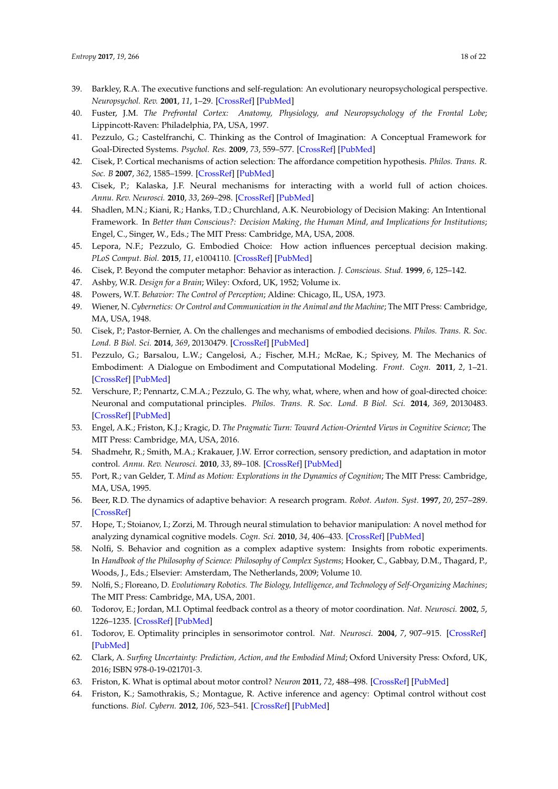- <span id="page-17-0"></span>39. Barkley, R.A. The executive functions and self-regulation: An evolutionary neuropsychological perspective. *Neuropsychol. Rev.* **2001**, *11*, 1–29. [\[CrossRef\]](http://dx.doi.org/10.1023/A:1009085417776) [\[PubMed\]](http://www.ncbi.nlm.nih.gov/pubmed/11392560)
- 40. Fuster, J.M. *The Prefrontal Cortex: Anatomy, Physiology, and Neuropsychology of the Frontal Lobe*; Lippincott-Raven: Philadelphia, PA, USA, 1997.
- <span id="page-17-1"></span>41. Pezzulo, G.; Castelfranchi, C. Thinking as the Control of Imagination: A Conceptual Framework for Goal-Directed Systems. *Psychol. Res.* **2009**, *73*, 559–577. [\[CrossRef\]](http://dx.doi.org/10.1007/s00426-009-0237-z) [\[PubMed\]](http://www.ncbi.nlm.nih.gov/pubmed/19347359)
- <span id="page-17-2"></span>42. Cisek, P. Cortical mechanisms of action selection: The affordance competition hypothesis. *Philos. Trans. R. Soc. B* **2007**, *362*, 1585–1599. [\[CrossRef\]](http://dx.doi.org/10.1098/rstb.2007.2054) [\[PubMed\]](http://www.ncbi.nlm.nih.gov/pubmed/17428779)
- <span id="page-17-3"></span>43. Cisek, P.; Kalaska, J.F. Neural mechanisms for interacting with a world full of action choices. *Annu. Rev. Neurosci.* **2010**, *33*, 269–298. [\[CrossRef\]](http://dx.doi.org/10.1146/annurev.neuro.051508.135409) [\[PubMed\]](http://www.ncbi.nlm.nih.gov/pubmed/20345247)
- <span id="page-17-4"></span>44. Shadlen, M.N.; Kiani, R.; Hanks, T.D.; Churchland, A.K. Neurobiology of Decision Making: An Intentional Framework. In *Better than Conscious?: Decision Making, the Human Mind, and Implications for Institutions*; Engel, C., Singer, W., Eds.; The MIT Press: Cambridge, MA, USA, 2008.
- <span id="page-17-5"></span>45. Lepora, N.F.; Pezzulo, G. Embodied Choice: How action influences perceptual decision making. *PLoS Comput. Biol.* **2015**, *11*, e1004110. [\[CrossRef\]](http://dx.doi.org/10.1371/journal.pcbi.1004110) [\[PubMed\]](http://www.ncbi.nlm.nih.gov/pubmed/25849349)
- <span id="page-17-6"></span>46. Cisek, P. Beyond the computer metaphor: Behavior as interaction. *J. Conscious. Stud.* **1999**, *6*, 125–142.
- <span id="page-17-7"></span>47. Ashby, W.R. *Design for a Brain*; Wiley: Oxford, UK, 1952; Volume ix.
- 48. Powers, W.T. *Behavior: The Control of Perception*; Aldine: Chicago, IL, USA, 1973.
- <span id="page-17-8"></span>49. Wiener, N. *Cybernetics: Or Control and Communication in the Animal and the Machine*; The MIT Press: Cambridge, MA, USA, 1948.
- <span id="page-17-9"></span>50. Cisek, P.; Pastor-Bernier, A. On the challenges and mechanisms of embodied decisions. *Philos. Trans. R. Soc. Lond. B Biol. Sci.* **2014**, *369*, 20130479. [\[CrossRef\]](http://dx.doi.org/10.1098/rstb.2013.0479) [\[PubMed\]](http://www.ncbi.nlm.nih.gov/pubmed/25267821)
- <span id="page-17-20"></span>51. Pezzulo, G.; Barsalou, L.W.; Cangelosi, A.; Fischer, M.H.; McRae, K.; Spivey, M. The Mechanics of Embodiment: A Dialogue on Embodiment and Computational Modeling. *Front. Cogn.* **2011**, *2*, 1–21. [\[CrossRef\]](http://dx.doi.org/10.3389/fpsyg.2011.00005) [\[PubMed\]](http://www.ncbi.nlm.nih.gov/pubmed/21713184)
- <span id="page-17-10"></span>52. Verschure, P.; Pennartz, C.M.A.; Pezzulo, G. The why, what, where, when and how of goal-directed choice: Neuronal and computational principles. *Philos. Trans. R. Soc. Lond. B Biol. Sci.* **2014**, *369*, 20130483. [\[CrossRef\]](http://dx.doi.org/10.1098/rstb.2013.0483) [\[PubMed\]](http://www.ncbi.nlm.nih.gov/pubmed/25267825)
- <span id="page-17-11"></span>53. Engel, A.K.; Friston, K.J.; Kragic, D. *The Pragmatic Turn: Toward Action-Oriented Views in Cognitive Science*; The MIT Press: Cambridge, MA, USA, 2016.
- <span id="page-17-12"></span>54. Shadmehr, R.; Smith, M.A.; Krakauer, J.W. Error correction, sensory prediction, and adaptation in motor control. *Annu. Rev. Neurosci.* **2010**, *33*, 89–108. [\[CrossRef\]](http://dx.doi.org/10.1146/annurev-neuro-060909-153135) [\[PubMed\]](http://www.ncbi.nlm.nih.gov/pubmed/20367317)
- <span id="page-17-13"></span>55. Port, R.; van Gelder, T. *Mind as Motion: Explorations in the Dynamics of Cognition*; The MIT Press: Cambridge, MA, USA, 1995.
- <span id="page-17-14"></span>56. Beer, R.D. The dynamics of adaptive behavior: A research program. *Robot. Auton. Syst.* **1997**, *20*, 257–289. [\[CrossRef\]](http://dx.doi.org/10.1016/S0921-8890(96)00063-2)
- 57. Hope, T.; Stoianov, I.; Zorzi, M. Through neural stimulation to behavior manipulation: A novel method for analyzing dynamical cognitive models. *Cogn. Sci.* **2010**, *34*, 406–433. [\[CrossRef\]](http://dx.doi.org/10.1111/j.1551-6709.2009.01079.x) [\[PubMed\]](http://www.ncbi.nlm.nih.gov/pubmed/21564219)
- 58. Nolfi, S. Behavior and cognition as a complex adaptive system: Insights from robotic experiments. In *Handbook of the Philosophy of Science: Philosophy of Complex Systems*; Hooker, C., Gabbay, D.M., Thagard, P., Woods, J., Eds.; Elsevier: Amsterdam, The Netherlands, 2009; Volume 10.
- <span id="page-17-15"></span>59. Nolfi, S.; Floreano, D. *Evolutionary Robotics. The Biology, Intelligence, and Technology of Self-Organizing Machines*; The MIT Press: Cambridge, MA, USA, 2001.
- <span id="page-17-16"></span>60. Todorov, E.; Jordan, M.I. Optimal feedback control as a theory of motor coordination. *Nat. Neurosci.* **2002**, *5*, 1226–1235. [\[CrossRef\]](http://dx.doi.org/10.1038/nn963) [\[PubMed\]](http://www.ncbi.nlm.nih.gov/pubmed/12404008)
- <span id="page-17-17"></span>61. Todorov, E. Optimality principles in sensorimotor control. *Nat. Neurosci.* **2004**, *7*, 907–915. [\[CrossRef\]](http://dx.doi.org/10.1038/nn1309) [\[PubMed\]](http://www.ncbi.nlm.nih.gov/pubmed/15332089)
- <span id="page-17-18"></span>62. Clark, A. *Surfing Uncertainty: Prediction, Action, and the Embodied Mind*; Oxford University Press: Oxford, UK, 2016; ISBN 978-0-19-021701-3.
- 63. Friston, K. What is optimal about motor control? *Neuron* **2011**, *72*, 488–498. [\[CrossRef\]](http://dx.doi.org/10.1016/j.neuron.2011.10.018) [\[PubMed\]](http://www.ncbi.nlm.nih.gov/pubmed/22078508)
- <span id="page-17-19"></span>64. Friston, K.; Samothrakis, S.; Montague, R. Active inference and agency: Optimal control without cost functions. *Biol. Cybern.* **2012**, *106*, 523–541. [\[CrossRef\]](http://dx.doi.org/10.1007/s00422-012-0512-8) [\[PubMed\]](http://www.ncbi.nlm.nih.gov/pubmed/22864468)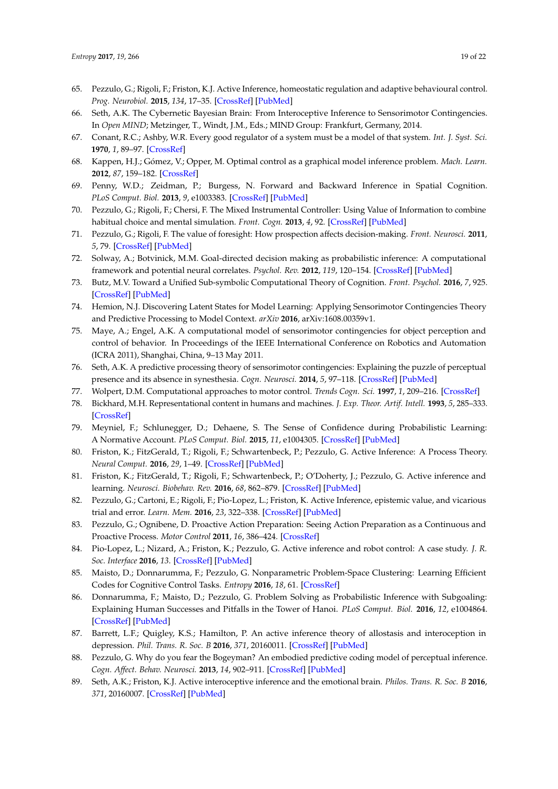- <span id="page-18-12"></span>65. Pezzulo, G.; Rigoli, F.; Friston, K.J. Active Inference, homeostatic regulation and adaptive behavioural control. *Prog. Neurobiol.* **2015**, *134*, 17–35. [\[CrossRef\]](http://dx.doi.org/10.1016/j.pneurobio.2015.09.001) [\[PubMed\]](http://www.ncbi.nlm.nih.gov/pubmed/26365173)
- <span id="page-18-0"></span>66. Seth, A.K. The Cybernetic Bayesian Brain: From Interoceptive Inference to Sensorimotor Contingencies. In *Open MIND*; Metzinger, T., Windt, J.M., Eds.; MIND Group: Frankfurt, Germany, 2014.
- <span id="page-18-1"></span>67. Conant, R.C.; Ashby, W.R. Every good regulator of a system must be a model of that system. *Int. J. Syst. Sci.* **1970**, *1*, 89–97. [\[CrossRef\]](http://dx.doi.org/10.1080/00207727008920220)
- <span id="page-18-2"></span>68. Kappen, H.J.; Gómez, V.; Opper, M. Optimal control as a graphical model inference problem. *Mach. Learn.* **2012**, *87*, 159–182. [\[CrossRef\]](http://dx.doi.org/10.1007/s10994-012-5278-7)
- 69. Penny, W.D.; Zeidman, P.; Burgess, N. Forward and Backward Inference in Spatial Cognition. *PLoS Comput. Biol.* **2013**, *9*, e1003383. [\[CrossRef\]](http://dx.doi.org/10.1371/journal.pcbi.1003383) [\[PubMed\]](http://www.ncbi.nlm.nih.gov/pubmed/24348230)
- <span id="page-18-18"></span>70. Pezzulo, G.; Rigoli, F.; Chersi, F. The Mixed Instrumental Controller: Using Value of Information to combine habitual choice and mental simulation. *Front. Cogn.* **2013**, *4*, 92. [\[CrossRef\]](http://dx.doi.org/10.3389/fpsyg.2013.00092) [\[PubMed\]](http://www.ncbi.nlm.nih.gov/pubmed/23459512)
- 71. Pezzulo, G.; Rigoli, F. The value of foresight: How prospection affects decision-making. *Front. Neurosci.* **2011**, *5*, 79. [\[CrossRef\]](http://dx.doi.org/10.3389/fnins.2011.00079) [\[PubMed\]](http://www.ncbi.nlm.nih.gov/pubmed/21747755)
- <span id="page-18-3"></span>72. Solway, A.; Botvinick, M.M. Goal-directed decision making as probabilistic inference: A computational framework and potential neural correlates. *Psychol. Rev.* **2012**, *119*, 120–154. [\[CrossRef\]](http://dx.doi.org/10.1037/a0026435) [\[PubMed\]](http://www.ncbi.nlm.nih.gov/pubmed/22229491)
- <span id="page-18-4"></span>73. Butz, M.V. Toward a Unified Sub-symbolic Computational Theory of Cognition. *Front. Psychol.* **2016**, *7*, 925. [\[CrossRef\]](http://dx.doi.org/10.3389/fpsyg.2016.00925) [\[PubMed\]](http://www.ncbi.nlm.nih.gov/pubmed/27445895)
- 74. Hemion, N.J. Discovering Latent States for Model Learning: Applying Sensorimotor Contingencies Theory and Predictive Processing to Model Context. *arXiv* **2016**, arXiv:1608.00359v1.
- <span id="page-18-5"></span>75. Maye, A.; Engel, A.K. A computational model of sensorimotor contingencies for object perception and control of behavior. In Proceedings of the IEEE International Conference on Robotics and Automation (ICRA 2011), Shanghai, China, 9–13 May 2011.
- <span id="page-18-6"></span>76. Seth, A.K. A predictive processing theory of sensorimotor contingencies: Explaining the puzzle of perceptual presence and its absence in synesthesia. *Cogn. Neurosci.* **2014**, *5*, 97–118. [\[CrossRef\]](http://dx.doi.org/10.1080/17588928.2013.877880) [\[PubMed\]](http://www.ncbi.nlm.nih.gov/pubmed/24446823)
- <span id="page-18-7"></span>77. Wolpert, D.M. Computational approaches to motor control. *Trends Cogn. Sci.* **1997**, *1*, 209–216. [\[CrossRef\]](http://dx.doi.org/10.1016/S1364-6613(97)01070-X)
- <span id="page-18-8"></span>78. Bickhard, M.H. Representational content in humans and machines. *J. Exp. Theor. Artif. Intell.* **1993**, *5*, 285–333. [\[CrossRef\]](http://dx.doi.org/10.1080/09528139308953775)
- <span id="page-18-9"></span>79. Meyniel, F.; Schlunegger, D.; Dehaene, S. The Sense of Confidence during Probabilistic Learning: A Normative Account. *PLoS Comput. Biol.* **2015**, *11*, e1004305. [\[CrossRef\]](http://dx.doi.org/10.1371/journal.pcbi.1004305) [\[PubMed\]](http://www.ncbi.nlm.nih.gov/pubmed/26076466)
- <span id="page-18-10"></span>80. Friston, K.; FitzGerald, T.; Rigoli, F.; Schwartenbeck, P.; Pezzulo, G. Active Inference: A Process Theory. *Neural Comput.* **2016**, *29*, 1–49. [\[CrossRef\]](http://dx.doi.org/10.1162/NECO_a_00912) [\[PubMed\]](http://www.ncbi.nlm.nih.gov/pubmed/27870614)
- <span id="page-18-17"></span>81. Friston, K.; FitzGerald, T.; Rigoli, F.; Schwartenbeck, P.; O'Doherty, J.; Pezzulo, G. Active inference and learning. *Neurosci. Biobehav. Rev.* **2016**, *68*, 862–879. [\[CrossRef\]](http://dx.doi.org/10.1016/j.neubiorev.2016.06.022) [\[PubMed\]](http://www.ncbi.nlm.nih.gov/pubmed/27375276)
- <span id="page-18-15"></span>82. Pezzulo, G.; Cartoni, E.; Rigoli, F.; Pio-Lopez, L.; Friston, K. Active Inference, epistemic value, and vicarious trial and error. *Learn. Mem.* **2016**, *23*, 322–338. [\[CrossRef\]](http://dx.doi.org/10.1101/lm.041780.116) [\[PubMed\]](http://www.ncbi.nlm.nih.gov/pubmed/27317193)
- <span id="page-18-19"></span>83. Pezzulo, G.; Ognibene, D. Proactive Action Preparation: Seeing Action Preparation as a Continuous and Proactive Process. *Motor Control* **2011**, *16*, 386–424. [\[CrossRef\]](http://dx.doi.org/10.1123/mcj.16.3.386)
- <span id="page-18-16"></span>84. Pio-Lopez, L.; Nizard, A.; Friston, K.; Pezzulo, G. Active inference and robot control: A case study. *J. R. Soc. Interface* **2016**, *13*. [\[CrossRef\]](http://dx.doi.org/10.1098/rsif.2016.0616) [\[PubMed\]](http://www.ncbi.nlm.nih.gov/pubmed/27683002)
- 85. Maisto, D.; Donnarumma, F.; Pezzulo, G. Nonparametric Problem-Space Clustering: Learning Efficient Codes for Cognitive Control Tasks. *Entropy* **2016**, *18*, 61. [\[CrossRef\]](http://dx.doi.org/10.3390/e18020061)
- <span id="page-18-11"></span>86. Donnarumma, F.; Maisto, D.; Pezzulo, G. Problem Solving as Probabilistic Inference with Subgoaling: Explaining Human Successes and Pitfalls in the Tower of Hanoi. *PLoS Comput. Biol.* **2016**, *12*, e1004864. [\[CrossRef\]](http://dx.doi.org/10.1371/journal.pcbi.1004864) [\[PubMed\]](http://www.ncbi.nlm.nih.gov/pubmed/27074140)
- <span id="page-18-13"></span>87. Barrett, L.F.; Quigley, K.S.; Hamilton, P. An active inference theory of allostasis and interoception in depression. *Phil. Trans. R. Soc. B* **2016**, *371*, 20160011. [\[CrossRef\]](http://dx.doi.org/10.1098/rstb.2016.0011) [\[PubMed\]](http://www.ncbi.nlm.nih.gov/pubmed/28080969)
- 88. Pezzulo, G. Why do you fear the Bogeyman? An embodied predictive coding model of perceptual inference. *Cogn. Affect. Behav. Neurosci.* **2013**, *14*, 902–911. [\[CrossRef\]](http://dx.doi.org/10.3758/s13415-013-0227-x) [\[PubMed\]](http://www.ncbi.nlm.nih.gov/pubmed/24307092)
- <span id="page-18-14"></span>89. Seth, A.K.; Friston, K.J. Active interoceptive inference and the emotional brain. *Philos. Trans. R. Soc. B* **2016**, *371*, 20160007. [\[CrossRef\]](http://dx.doi.org/10.1098/rstb.2016.0007) [\[PubMed\]](http://www.ncbi.nlm.nih.gov/pubmed/28080966)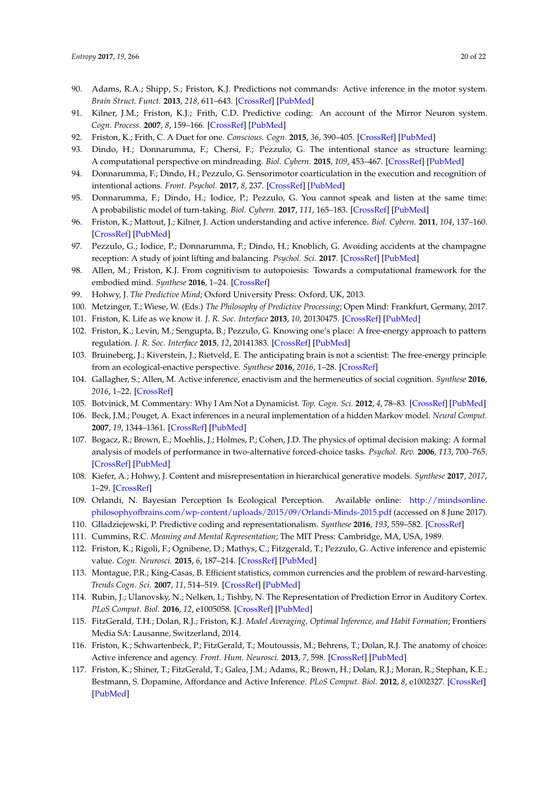- <span id="page-19-0"></span>90. Adams, R.A.; Shipp, S.; Friston, K.J. Predictions not commands: Active inference in the motor system. *Brain Struct. Funct.* **2013**, *218*, 611–643. [\[CrossRef\]](http://dx.doi.org/10.1007/s00429-012-0475-5) [\[PubMed\]](http://www.ncbi.nlm.nih.gov/pubmed/23129312)
- <span id="page-19-1"></span>91. Kilner, J.M.; Friston, K.J.; Frith, C.D. Predictive coding: An account of the Mirror Neuron system. *Cogn. Process.* **2007**, *8*, 159–166. [\[CrossRef\]](http://dx.doi.org/10.1007/s10339-007-0170-2) [\[PubMed\]](http://www.ncbi.nlm.nih.gov/pubmed/17429704)
- <span id="page-19-23"></span>92. Friston, K.; Frith, C. A Duet for one. *Conscious. Cogn.* **2015**, *36*, 390–405. [\[CrossRef\]](http://dx.doi.org/10.1016/j.concog.2014.12.003) [\[PubMed\]](http://www.ncbi.nlm.nih.gov/pubmed/25563935)
- 93. Dindo, H.; Donnarumma, F.; Chersi, F.; Pezzulo, G. The intentional stance as structure learning: A computational perspective on mindreading. *Biol. Cybern.* **2015**, *109*, 453–467. [\[CrossRef\]](http://dx.doi.org/10.1007/s00422-015-0654-6) [\[PubMed\]](http://www.ncbi.nlm.nih.gov/pubmed/26168854)
- 94. Donnarumma, F.; Dindo, H.; Pezzulo, G. Sensorimotor coarticulation in the execution and recognition of intentional actions. *Front. Psychol.* **2017**, *8*, 237. [\[CrossRef\]](http://dx.doi.org/10.3389/fpsyg.2017.00237) [\[PubMed\]](http://www.ncbi.nlm.nih.gov/pubmed/28280475)
- 95. Donnarumma, F.; Dindo, H.; Iodice, P.; Pezzulo, G. You cannot speak and listen at the same time: A probabilistic model of turn-taking. *Biol. Cybern.* **2017**, *111*, 165–183. [\[CrossRef\]](http://dx.doi.org/10.1007/s00422-017-0714-1) [\[PubMed\]](http://www.ncbi.nlm.nih.gov/pubmed/28265753)
- <span id="page-19-24"></span>96. Friston, K.; Mattout, J.; Kilner, J. Action understanding and active inference. *Biol. Cybern.* **2011**, *104*, 137–160. [\[CrossRef\]](http://dx.doi.org/10.1007/s00422-011-0424-z) [\[PubMed\]](http://www.ncbi.nlm.nih.gov/pubmed/21327826)
- <span id="page-19-2"></span>97. Pezzulo, G.; Iodice, P.; Donnarumma, F.; Dindo, H.; Knoblich, G. Avoiding accidents at the champagne reception: A study of joint lifting and balancing. *Psychol. Sci.* **2017**. [\[CrossRef\]](http://dx.doi.org/10.1177/0956797616683015) [\[PubMed\]](http://www.ncbi.nlm.nih.gov/pubmed/28103140)
- <span id="page-19-3"></span>98. Allen, M.; Friston, K.J. From cognitivism to autopoiesis: Towards a computational framework for the embodied mind. *Synthese* **2016**, 1–24. [\[CrossRef\]](http://dx.doi.org/10.1007/s11229-016-1288-5)
- <span id="page-19-5"></span>99. Hohwy, J. *The Predictive Mind*; Oxford University Press: Oxford, UK, 2013.
- <span id="page-19-6"></span><span id="page-19-4"></span>100. Metzinger, T.; Wiese, W. (Eds.) *The Philosophy of Predictive Processing*; Open Mind: Frankfurt, Germany, 2017.
- <span id="page-19-7"></span>101. Friston, K. Life as we know it. *J. R. Soc. Interface* **2013**, *10*, 20130475. [\[CrossRef\]](http://dx.doi.org/10.1098/rsif.2013.0475) [\[PubMed\]](http://www.ncbi.nlm.nih.gov/pubmed/23825119)
- 102. Friston, K.; Levin, M.; Sengupta, B.; Pezzulo, G. Knowing one's place: A free-energy approach to pattern regulation. *J. R. Soc. Interface* **2015**, *12*, 20141383. [\[CrossRef\]](http://dx.doi.org/10.1098/rsif.2014.1383) [\[PubMed\]](http://www.ncbi.nlm.nih.gov/pubmed/25788538)
- <span id="page-19-8"></span>103. Bruineberg, J.; Kiverstein, J.; Rietveld, E. The anticipating brain is not a scientist: The free-energy principle from an ecological-enactive perspective. *Synthese* **2016**, *2016*, 1–28. [\[CrossRef\]](http://dx.doi.org/10.1007/s11229-016-1239-1)
- <span id="page-19-9"></span>104. Gallagher, S.; Allen, M. Active inference, enactivism and the hermeneutics of social cognition. *Synthese* **2016**, *2016*, 1–22. [\[CrossRef\]](http://dx.doi.org/10.1007/s11229-016-1269-8)
- <span id="page-19-10"></span>105. Botvinick, M. Commentary: Why I Am Not a Dynamicist. *Top. Cogn. Sci.* **2012**, *4*, 78–83. [\[CrossRef\]](http://dx.doi.org/10.1111/j.1756-8765.2011.01170.x) [\[PubMed\]](http://www.ncbi.nlm.nih.gov/pubmed/22253180)
- <span id="page-19-11"></span>106. Beck, J.M.; Pouget, A. Exact inferences in a neural implementation of a hidden Markov model. *Neural Comput.* **2007**, *19*, 1344–1361. [\[CrossRef\]](http://dx.doi.org/10.1162/neco.2007.19.5.1344) [\[PubMed\]](http://www.ncbi.nlm.nih.gov/pubmed/17381269)
- <span id="page-19-12"></span>107. Bogacz, R.; Brown, E.; Moehlis, J.; Holmes, P.; Cohen, J.D. The physics of optimal decision making: A formal analysis of models of performance in two-alternative forced-choice tasks. *Psychol. Rev.* **2006**, *113*, 700–765. [\[CrossRef\]](http://dx.doi.org/10.1037/0033-295X.113.4.700) [\[PubMed\]](http://www.ncbi.nlm.nih.gov/pubmed/17014301)
- <span id="page-19-13"></span>108. Kiefer, A.; Hohwy, J. Content and misrepresentation in hierarchical generative models. *Synthese* **2017**, *2017*, 1–29. [\[CrossRef\]](http://dx.doi.org/10.1007/s11229-017-1435-7)
- <span id="page-19-14"></span>109. Orlandi, N. Bayesian Perception Is Ecological Perception. Available online: [http://mindsonline.](http://mindsonline.philosophyofbrains.com/wp-content/uploads/2015/09/Orlandi-Minds-2015.pdf) [philosophyofbrains.com/wp-content/uploads/2015/09/Orlandi-Minds-2015.pdf](http://mindsonline.philosophyofbrains.com/wp-content/uploads/2015/09/Orlandi-Minds-2015.pdf) (accessed on 8 June 2017).
- <span id="page-19-15"></span>110. Głladziejewski, P. Predictive coding and representationalism. *Synthese* **2016**, *193*, 559–582. [\[CrossRef\]](http://dx.doi.org/10.1007/s11229-015-0762-9)
- <span id="page-19-16"></span>111. Cummins, R.C. *Meaning and Mental Representation*; The MIT Press: Cambridge, MA, USA, 1989.
- <span id="page-19-17"></span>112. Friston, K.; Rigoli, F.; Ognibene, D.; Mathys, C.; Fitzgerald, T.; Pezzulo, G. Active inference and epistemic value. *Cogn. Neurosci.* **2015**, *6*, 187–214. [\[CrossRef\]](http://dx.doi.org/10.1080/17588928.2015.1020053) [\[PubMed\]](http://www.ncbi.nlm.nih.gov/pubmed/25689102)
- <span id="page-19-18"></span>113. Montague, P.R.; King-Casas, B. Efficient statistics, common currencies and the problem of reward-harvesting. *Trends Cogn. Sci.* **2007**, *11*, 514–519. [\[CrossRef\]](http://dx.doi.org/10.1016/j.tics.2007.10.002) [\[PubMed\]](http://www.ncbi.nlm.nih.gov/pubmed/18023243)
- <span id="page-19-19"></span>114. Rubin, J.; Ulanovsky, N.; Nelken, I.; Tishby, N. The Representation of Prediction Error in Auditory Cortex. *PLoS Comput. Biol.* **2016**, *12*, e1005058. [\[CrossRef\]](http://dx.doi.org/10.1371/journal.pcbi.1005058) [\[PubMed\]](http://www.ncbi.nlm.nih.gov/pubmed/27490251)
- <span id="page-19-20"></span>115. FitzGerald, T.H.; Dolan, R.J.; Friston, K.J. *Model Averaging, Optimal Inference, and Habit Formation*; Frontiers Media SA: Lausanne, Switzerland, 2014.
- <span id="page-19-21"></span>116. Friston, K.; Schwartenbeck, P.; FitzGerald, T.; Moutoussis, M.; Behrens, T.; Dolan, R.J. The anatomy of choice: Active inference and agency. *Front. Hum. Neurosci.* **2013**, *7*, 598. [\[CrossRef\]](http://dx.doi.org/10.3389/fnhum.2013.00598) [\[PubMed\]](http://www.ncbi.nlm.nih.gov/pubmed/24093015)
- <span id="page-19-22"></span>117. Friston, K.; Shiner, T.; FitzGerald, T.; Galea, J.M.; Adams, R.; Brown, H.; Dolan, R.J.; Moran, R.; Stephan, K.E.; Bestmann, S. Dopamine, Affordance and Active Inference. *PLoS Comput. Biol.* **2012**, *8*, e1002327. [\[CrossRef\]](http://dx.doi.org/10.1371/journal.pcbi.1002327) [\[PubMed\]](http://www.ncbi.nlm.nih.gov/pubmed/22241972)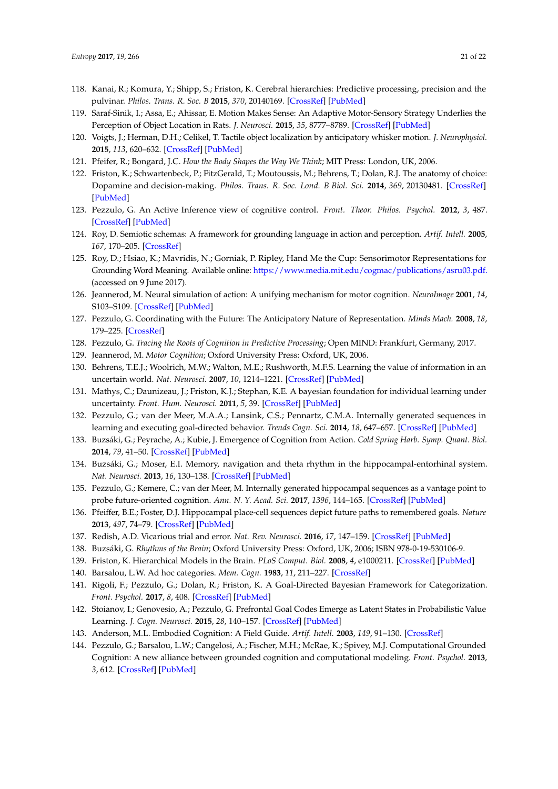- <span id="page-20-0"></span>118. Kanai, R.; Komura, Y.; Shipp, S.; Friston, K. Cerebral hierarchies: Predictive processing, precision and the pulvinar. *Philos. Trans. R. Soc. B* **2015**, *370*, 20140169. [\[CrossRef\]](http://dx.doi.org/10.1098/rstb.2014.0169) [\[PubMed\]](http://www.ncbi.nlm.nih.gov/pubmed/25823866)
- <span id="page-20-1"></span>119. Saraf-Sinik, I.; Assa, E.; Ahissar, E. Motion Makes Sense: An Adaptive Motor-Sensory Strategy Underlies the Perception of Object Location in Rats. *J. Neurosci.* **2015**, *35*, 8777–8789. [\[CrossRef\]](http://dx.doi.org/10.1523/JNEUROSCI.4149-14.2015) [\[PubMed\]](http://www.ncbi.nlm.nih.gov/pubmed/26063912)
- <span id="page-20-2"></span>120. Voigts, J.; Herman, D.H.; Celikel, T. Tactile object localization by anticipatory whisker motion. *J. Neurophysiol.* **2015**, *113*, 620–632. [\[CrossRef\]](http://dx.doi.org/10.1152/jn.00241.2014) [\[PubMed\]](http://www.ncbi.nlm.nih.gov/pubmed/25339711)
- <span id="page-20-3"></span>121. Pfeifer, R.; Bongard, J.C. *How the Body Shapes the Way We Think*; MIT Press: London, UK, 2006.
- <span id="page-20-4"></span>122. Friston, K.; Schwartenbeck, P.; FitzGerald, T.; Moutoussis, M.; Behrens, T.; Dolan, R.J. The anatomy of choice: Dopamine and decision-making. *Philos. Trans. R. Soc. Lond. B Biol. Sci.* **2014**, *369*, 20130481. [\[CrossRef\]](http://dx.doi.org/10.1098/rstb.2013.0481) [\[PubMed\]](http://www.ncbi.nlm.nih.gov/pubmed/25267823)
- <span id="page-20-5"></span>123. Pezzulo, G. An Active Inference view of cognitive control. *Front. Theor. Philos. Psychol.* **2012**, *3*, 487. [\[CrossRef\]](http://dx.doi.org/10.3389/fpsyg.2012.00478) [\[PubMed\]](http://www.ncbi.nlm.nih.gov/pubmed/23133435)
- <span id="page-20-6"></span>124. Roy, D. Semiotic schemas: A framework for grounding language in action and perception. *Artif. Intell.* **2005**, *167*, 170–205. [\[CrossRef\]](http://dx.doi.org/10.1016/j.artint.2005.04.007)
- <span id="page-20-7"></span>125. Roy, D.; Hsiao, K.; Mavridis, N.; Gorniak, P. Ripley, Hand Me the Cup: Sensorimotor Representations for Grounding Word Meaning. Available online: <https://www.media.mit.edu/cogmac/publications/asru03.pdf.> (accessed on 9 June 2017).
- <span id="page-20-8"></span>126. Jeannerod, M. Neural simulation of action: A unifying mechanism for motor cognition. *NeuroImage* **2001**, *14*, S103–S109. [\[CrossRef\]](http://dx.doi.org/10.1006/nimg.2001.0832) [\[PubMed\]](http://www.ncbi.nlm.nih.gov/pubmed/11373140)
- <span id="page-20-9"></span>127. Pezzulo, G. Coordinating with the Future: The Anticipatory Nature of Representation. *Minds Mach.* **2008**, *18*, 179–225. [\[CrossRef\]](http://dx.doi.org/10.1007/s11023-008-9095-5)
- <span id="page-20-10"></span>128. Pezzulo, G. *Tracing the Roots of Cognition in Predictive Processing*; Open MIND: Frankfurt, Germany, 2017.
- <span id="page-20-11"></span>129. Jeannerod, M. *Motor Cognition*; Oxford University Press: Oxford, UK, 2006.
- <span id="page-20-12"></span>130. Behrens, T.E.J.; Woolrich, M.W.; Walton, M.E.; Rushworth, M.F.S. Learning the value of information in an uncertain world. *Nat. Neurosci.* **2007**, *10*, 1214–1221. [\[CrossRef\]](http://dx.doi.org/10.1038/nn1954) [\[PubMed\]](http://www.ncbi.nlm.nih.gov/pubmed/17676057)
- <span id="page-20-13"></span>131. Mathys, C.; Daunizeau, J.; Friston, K.J.; Stephan, K.E. A bayesian foundation for individual learning under uncertainty. *Front. Hum. Neurosci.* **2011**, *5*, 39. [\[CrossRef\]](http://dx.doi.org/10.3389/fnhum.2011.00039) [\[PubMed\]](http://www.ncbi.nlm.nih.gov/pubmed/21629826)
- <span id="page-20-14"></span>132. Pezzulo, G.; van der Meer, M.A.A.; Lansink, C.S.; Pennartz, C.M.A. Internally generated sequences in learning and executing goal-directed behavior. *Trends Cogn. Sci.* **2014**, *18*, 647–657. [\[CrossRef\]](http://dx.doi.org/10.1016/j.tics.2014.06.011) [\[PubMed\]](http://www.ncbi.nlm.nih.gov/pubmed/25156191)
- 133. Buzsáki, G.; Peyrache, A.; Kubie, J. Emergence of Cognition from Action. *Cold Spring Harb. Symp. Quant. Biol.* **2014**, *79*, 41–50. [\[CrossRef\]](http://dx.doi.org/10.1101/sqb.2014.79.024679) [\[PubMed\]](http://www.ncbi.nlm.nih.gov/pubmed/25752314)
- 134. Buzsáki, G.; Moser, E.I. Memory, navigation and theta rhythm in the hippocampal-entorhinal system. *Nat. Neurosci.* **2013**, *16*, 130–138. [\[CrossRef\]](http://dx.doi.org/10.1038/nn.3304) [\[PubMed\]](http://www.ncbi.nlm.nih.gov/pubmed/23354386)
- <span id="page-20-22"></span>135. Pezzulo, G.; Kemere, C.; van der Meer, M. Internally generated hippocampal sequences as a vantage point to probe future-oriented cognition. *Ann. N. Y. Acad. Sci.* **2017**, *1396*, 144–165. [\[CrossRef\]](http://dx.doi.org/10.1111/nyas.13329) [\[PubMed\]](http://www.ncbi.nlm.nih.gov/pubmed/28548460)
- 136. Pfeiffer, B.E.; Foster, D.J. Hippocampal place-cell sequences depict future paths to remembered goals. *Nature* **2013**, *497*, 74–79. [\[CrossRef\]](http://dx.doi.org/10.1038/nature12112) [\[PubMed\]](http://www.ncbi.nlm.nih.gov/pubmed/23594744)
- <span id="page-20-15"></span>137. Redish, A.D. Vicarious trial and error. *Nat. Rev. Neurosci.* **2016**, *17*, 147–159. [\[CrossRef\]](http://dx.doi.org/10.1038/nrn.2015.30) [\[PubMed\]](http://www.ncbi.nlm.nih.gov/pubmed/26891625)
- <span id="page-20-16"></span>138. Buzsáki, G. *Rhythms of the Brain*; Oxford University Press: Oxford, UK, 2006; ISBN 978-0-19-530106-9.
- <span id="page-20-17"></span>139. Friston, K. Hierarchical Models in the Brain. *PLoS Comput. Biol.* **2008**, *4*, e1000211. [\[CrossRef\]](http://dx.doi.org/10.1371/journal.pcbi.1000211) [\[PubMed\]](http://www.ncbi.nlm.nih.gov/pubmed/18989391)
- <span id="page-20-18"></span>140. Barsalou, L.W. Ad hoc categories. *Mem. Cogn.* **1983**, *11*, 211–227. [\[CrossRef\]](http://dx.doi.org/10.3758/BF03196968)
- 141. Rigoli, F.; Pezzulo, G.; Dolan, R.; Friston, K. A Goal-Directed Bayesian Framework for Categorization. *Front. Psychol.* **2017**, *8*, 408. [\[CrossRef\]](http://dx.doi.org/10.3389/fpsyg.2017.00408) [\[PubMed\]](http://www.ncbi.nlm.nih.gov/pubmed/28382008)
- <span id="page-20-19"></span>142. Stoianov, I.; Genovesio, A.; Pezzulo, G. Prefrontal Goal Codes Emerge as Latent States in Probabilistic Value Learning. *J. Cogn. Neurosci.* **2015**, *28*, 140–157. [\[CrossRef\]](http://dx.doi.org/10.1162/jocn_a_00886) [\[PubMed\]](http://www.ncbi.nlm.nih.gov/pubmed/26439267)
- <span id="page-20-20"></span>143. Anderson, M.L. Embodied Cognition: A Field Guide. *Artif. Intell.* **2003**, *149*, 91–130. [\[CrossRef\]](http://dx.doi.org/10.1016/S0004-3702(03)00054-7)
- <span id="page-20-21"></span>144. Pezzulo, G.; Barsalou, L.W.; Cangelosi, A.; Fischer, M.H.; McRae, K.; Spivey, M.J. Computational Grounded Cognition: A new alliance between grounded cognition and computational modeling. *Front. Psychol.* **2013**, *3*, 612. [\[CrossRef\]](http://dx.doi.org/10.3389/fpsyg.2012.00612) [\[PubMed\]](http://www.ncbi.nlm.nih.gov/pubmed/23346065)